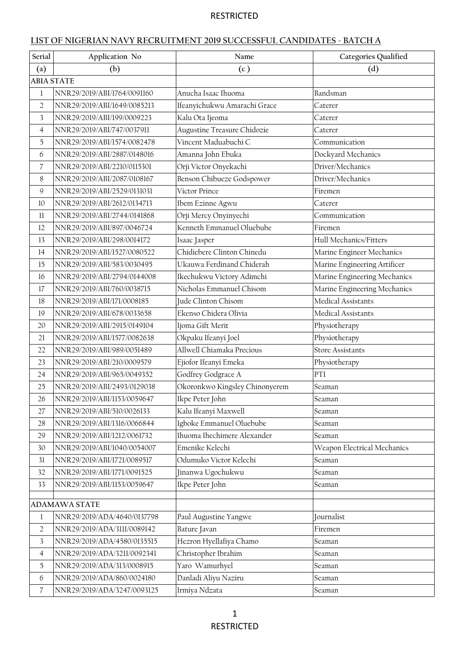### **LIST OF NIGERIAN NAVY RECRUITMENT 2019 SUCCESSFUL CANDIDATES - BATCH A**

| Serial                                                                                                                           | Application No                                                                                                                                                                                                                                                                                            | Name                                                                                                                                                                                                                                                                                                                                                                              | Categories Qualified                                                                                                                                                                                        |
|----------------------------------------------------------------------------------------------------------------------------------|-----------------------------------------------------------------------------------------------------------------------------------------------------------------------------------------------------------------------------------------------------------------------------------------------------------|-----------------------------------------------------------------------------------------------------------------------------------------------------------------------------------------------------------------------------------------------------------------------------------------------------------------------------------------------------------------------------------|-------------------------------------------------------------------------------------------------------------------------------------------------------------------------------------------------------------|
| (a)                                                                                                                              | (b)                                                                                                                                                                                                                                                                                                       | (c)                                                                                                                                                                                                                                                                                                                                                                               | (d)                                                                                                                                                                                                         |
|                                                                                                                                  | <b>ABIA STATE</b>                                                                                                                                                                                                                                                                                         |                                                                                                                                                                                                                                                                                                                                                                                   |                                                                                                                                                                                                             |
| $\mathbf{1}$                                                                                                                     | NNR29/2019/ABI/1764/0091160                                                                                                                                                                                                                                                                               | Anucha Isaac Ihuoma                                                                                                                                                                                                                                                                                                                                                               | Bandsman                                                                                                                                                                                                    |
| $\overline{2}$                                                                                                                   | NNR29/2019/ABI/1649/0085213                                                                                                                                                                                                                                                                               | Ifeanyichukwu Amarachi Grace                                                                                                                                                                                                                                                                                                                                                      | Caterer                                                                                                                                                                                                     |
| 3                                                                                                                                | NNR29/2019/ABI/199/0009223                                                                                                                                                                                                                                                                                | Kalu Ota Ijeoma                                                                                                                                                                                                                                                                                                                                                                   | Caterer                                                                                                                                                                                                     |
| $\overline{4}$                                                                                                                   | NNR29/2019/ABI/747/0037911                                                                                                                                                                                                                                                                                | Augustine Treasure Chidozie                                                                                                                                                                                                                                                                                                                                                       | Caterer                                                                                                                                                                                                     |
| 5                                                                                                                                | NNR29/2019/ABI/1574/0082478                                                                                                                                                                                                                                                                               | Vincent Maduabuchi C                                                                                                                                                                                                                                                                                                                                                              | Communication                                                                                                                                                                                               |
| 6                                                                                                                                | NNR29/2019/ABI/2887/0148016                                                                                                                                                                                                                                                                               | Amanna John Ebuka                                                                                                                                                                                                                                                                                                                                                                 | Dockyard Mechanics                                                                                                                                                                                          |
| 7                                                                                                                                | NNR29/2019/ABI/2210/0115301                                                                                                                                                                                                                                                                               | Orji Victor Onyekachi                                                                                                                                                                                                                                                                                                                                                             | Driver/Mechanics                                                                                                                                                                                            |
| 8                                                                                                                                | NNR29/2019/ABI/2087/0108167                                                                                                                                                                                                                                                                               | Benson Chibueze Godspower                                                                                                                                                                                                                                                                                                                                                         | Driver/Mechanics                                                                                                                                                                                            |
| $\mathcal{Q}$                                                                                                                    | NNR29/2019/ABI/2529/0131031                                                                                                                                                                                                                                                                               | Victor Prince                                                                                                                                                                                                                                                                                                                                                                     | Firemen                                                                                                                                                                                                     |
| 10                                                                                                                               | NNR29/2019/ABI/2612/0134713                                                                                                                                                                                                                                                                               | Ibem Ezinne Agwu                                                                                                                                                                                                                                                                                                                                                                  | Caterer                                                                                                                                                                                                     |
| 11                                                                                                                               | NNR29/2019/ABI/2744/0141868                                                                                                                                                                                                                                                                               | Orji Mercy Onyinyechi                                                                                                                                                                                                                                                                                                                                                             | Communication                                                                                                                                                                                               |
| 12                                                                                                                               | NNR29/2019/ABI/897/0046724                                                                                                                                                                                                                                                                                | Kenneth Emmanuel Oluebube                                                                                                                                                                                                                                                                                                                                                         | Firemen                                                                                                                                                                                                     |
| 13                                                                                                                               | NNR29/2019/ABI/298/0014172                                                                                                                                                                                                                                                                                | Isaac Jasper                                                                                                                                                                                                                                                                                                                                                                      | Hull Mechanics/Fitters                                                                                                                                                                                      |
| 14                                                                                                                               | NNR29/2019/ABI/1527/0080522                                                                                                                                                                                                                                                                               | Chidiebere Clinton Chinedu                                                                                                                                                                                                                                                                                                                                                        | Marine Engineer Mechanics                                                                                                                                                                                   |
| 15                                                                                                                               | NNR29/2019/ABI/583/0030495                                                                                                                                                                                                                                                                                | Ukauwa Ferdinand Chiderah                                                                                                                                                                                                                                                                                                                                                         | Marine Engineering Artificer                                                                                                                                                                                |
| 16                                                                                                                               | NNR29/2019/ABI/2794/0144008                                                                                                                                                                                                                                                                               | Ikechukwu Victory Adimchi                                                                                                                                                                                                                                                                                                                                                         |                                                                                                                                                                                                             |
| 17                                                                                                                               | NNR29/2019/ABI/760/0038715                                                                                                                                                                                                                                                                                | Nicholas Emmanuel Chisom                                                                                                                                                                                                                                                                                                                                                          |                                                                                                                                                                                                             |
| 18                                                                                                                               | NNR29/2019/ABI/171/0008185                                                                                                                                                                                                                                                                                | Jude Clinton Chisom                                                                                                                                                                                                                                                                                                                                                               | Medical Assistants                                                                                                                                                                                          |
| 19                                                                                                                               | NNR29/2019/ABI/678/0033658                                                                                                                                                                                                                                                                                |                                                                                                                                                                                                                                                                                                                                                                                   | Medical Assistants                                                                                                                                                                                          |
| 20                                                                                                                               | NNR29/2019/ABI/2915/0149104                                                                                                                                                                                                                                                                               | Ijoma Gift Merit                                                                                                                                                                                                                                                                                                                                                                  | Physiotherapy                                                                                                                                                                                               |
| 21                                                                                                                               | NNR29/2019/ABI/1577/0082638                                                                                                                                                                                                                                                                               | Okpaku Ifeanyi Joel                                                                                                                                                                                                                                                                                                                                                               | Physiotherapy                                                                                                                                                                                               |
| 22                                                                                                                               | NNR29/2019/ABI/989/0051489                                                                                                                                                                                                                                                                                |                                                                                                                                                                                                                                                                                                                                                                                   |                                                                                                                                                                                                             |
| 23                                                                                                                               | NNR29/2019/ABI/210/0009579                                                                                                                                                                                                                                                                                | Ejiofor Ifeanyi Emeka                                                                                                                                                                                                                                                                                                                                                             | Physiotherapy                                                                                                                                                                                               |
| 24                                                                                                                               | NNR29/2019/ABI/965/0049352                                                                                                                                                                                                                                                                                | Godfrey Godgrace A                                                                                                                                                                                                                                                                                                                                                                | PTI                                                                                                                                                                                                         |
| 25                                                                                                                               | NNR29/2019/ABI/2493/0129038                                                                                                                                                                                                                                                                               |                                                                                                                                                                                                                                                                                                                                                                                   | Seaman                                                                                                                                                                                                      |
| 26                                                                                                                               | NNR29/2019/ABI/1153/0059647                                                                                                                                                                                                                                                                               |                                                                                                                                                                                                                                                                                                                                                                                   | Seaman                                                                                                                                                                                                      |
| 27                                                                                                                               | NNR29/2019/ABI/510/0026133                                                                                                                                                                                                                                                                                | Kalu Ifeanyi Maxwell                                                                                                                                                                                                                                                                                                                                                              | Seaman                                                                                                                                                                                                      |
| 28                                                                                                                               | NNR29/2019/ABI/1316/0066844                                                                                                                                                                                                                                                                               | Igboke Emmanuel Oluebube                                                                                                                                                                                                                                                                                                                                                          | Seaman                                                                                                                                                                                                      |
| 29                                                                                                                               | NNR29/2019/ABI/1212/0061732                                                                                                                                                                                                                                                                               |                                                                                                                                                                                                                                                                                                                                                                                   | Seaman                                                                                                                                                                                                      |
| 30                                                                                                                               | NNR29/2019/ABI/1040/0054007                                                                                                                                                                                                                                                                               |                                                                                                                                                                                                                                                                                                                                                                                   |                                                                                                                                                                                                             |
| 31                                                                                                                               | NNR29/2019/ABI/1721/0089517                                                                                                                                                                                                                                                                               |                                                                                                                                                                                                                                                                                                                                                                                   | Seaman                                                                                                                                                                                                      |
| 32                                                                                                                               |                                                                                                                                                                                                                                                                                                           |                                                                                                                                                                                                                                                                                                                                                                                   |                                                                                                                                                                                                             |
| 33                                                                                                                               |                                                                                                                                                                                                                                                                                                           |                                                                                                                                                                                                                                                                                                                                                                                   | Seaman                                                                                                                                                                                                      |
|                                                                                                                                  |                                                                                                                                                                                                                                                                                                           |                                                                                                                                                                                                                                                                                                                                                                                   |                                                                                                                                                                                                             |
|                                                                                                                                  |                                                                                                                                                                                                                                                                                                           |                                                                                                                                                                                                                                                                                                                                                                                   |                                                                                                                                                                                                             |
|                                                                                                                                  |                                                                                                                                                                                                                                                                                                           |                                                                                                                                                                                                                                                                                                                                                                                   |                                                                                                                                                                                                             |
|                                                                                                                                  |                                                                                                                                                                                                                                                                                                           |                                                                                                                                                                                                                                                                                                                                                                                   |                                                                                                                                                                                                             |
|                                                                                                                                  |                                                                                                                                                                                                                                                                                                           |                                                                                                                                                                                                                                                                                                                                                                                   |                                                                                                                                                                                                             |
|                                                                                                                                  |                                                                                                                                                                                                                                                                                                           |                                                                                                                                                                                                                                                                                                                                                                                   |                                                                                                                                                                                                             |
|                                                                                                                                  |                                                                                                                                                                                                                                                                                                           |                                                                                                                                                                                                                                                                                                                                                                                   |                                                                                                                                                                                                             |
|                                                                                                                                  |                                                                                                                                                                                                                                                                                                           |                                                                                                                                                                                                                                                                                                                                                                                   |                                                                                                                                                                                                             |
| $\mathbf{1}$<br>$\overline{2}$<br>$\overline{\mathbf{3}}$<br>$\overline{4}$<br>5<br>$\boldsymbol{6}$<br>$\overline{\mathcal{C}}$ | NNR29/2019/ABI/1771/0091525<br>NNR29/2019/ABI/1153/0059647<br><b>ADAMAWA STATE</b><br>NNR29/2019/ADA/4640/0137798<br>NNR29/2019/ADA/3111/0089142<br>NNR29/2019/ADA/4580/0135515<br>NNR29/2019/ADA/3211/0092341<br>NNR29/2019/ADA/313/0008915<br>NNR29/2019/ADA/860/0024180<br>NNR29/2019/ADA/3247/0093125 | Ekenso Chidera Olivia<br>Allwell Chiamaka Precious<br>Okoronkwo Kingsley Chinonyerem<br>Ikpe Peter John<br>Ihuoma Ihechimere Alexander<br>Emenike Kelechi<br>Odumuko Victor Kelechi<br>Jinanwa Ugochukwu<br>Ikpe Peter John<br>Paul Augustine Yangwe<br>Bature Javan<br>Hezron Hyellafiya Chamo<br>Christopher Ibrahim<br>Yaro Wamurhyel<br>Danladi Aliyu Naziru<br>Irmiya Ndzata | Marine Engineering Mechanics<br>Marine Engineering Mechanics<br><b>Store Assistants</b><br>Weapon Electrical Mechanics<br>Seaman<br>Journalist<br>Firemen<br>Seaman<br>Seaman<br>Seaman<br>Seaman<br>Seaman |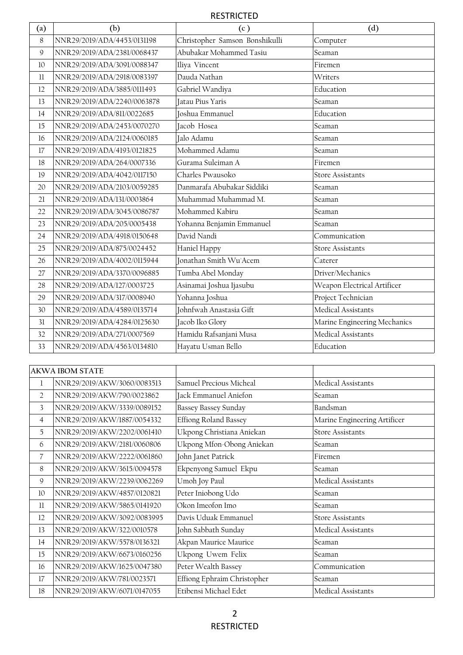| $\left( \text{a}\right)$ | (b)                         | (c)                            | (d)                          |
|--------------------------|-----------------------------|--------------------------------|------------------------------|
| 8                        | NNR29/2019/ADA/4453/0131198 | Christopher Samson Bonshikulli | Computer                     |
| $\mathsf{Q}$             | NNR29/2019/ADA/2381/0068437 | Abubakar Mohammed Tasiu        | Seaman                       |
| 10                       | NNR29/2019/ADA/3091/0088347 | Iliya Vincent                  | Firemen                      |
| 11                       | NNR29/2019/ADA/2918/0083397 | Dauda Nathan                   | Writers                      |
| 12                       | NNR29/2019/ADA/3885/0111493 | Gabriel Wandiya                | Education                    |
| 13                       | NNR29/2019/ADA/2240/0063878 | Jatau Pius Yaris               | Seaman                       |
| 14                       | NNR29/2019/ADA/811/0022685  | Joshua Emmanuel                | Education                    |
| 15                       | NNR29/2019/ADA/2453/0070270 | Jacob Hosea                    | Seaman                       |
| 16                       | NNR29/2019/ADA/2124/0060185 | Jalo Adamu                     | Seaman                       |
| 17                       | NNR29/2019/ADA/4193/0121825 | Mohammed Adamu                 | Seaman                       |
| 18                       | NNR29/2019/ADA/264/0007336  | Gurama Suleiman A              | Firemen                      |
| 19                       | NNR29/2019/ADA/4042/0117150 | Charles Pwausoko               | <b>Store Assistants</b>      |
| 20                       | NNR29/2019/ADA/2103/0059285 | Danmarafa Abubakar Siddiki     | Seaman                       |
| 21                       | NNR29/2019/ADA/131/0003864  | Muhammad Muhammad M.           | Seaman                       |
| 22                       | NNR29/2019/ADA/3045/0086787 | Mohammed Kabiru                | Seaman                       |
| 23                       | NNR29/2019/ADA/205/0005438  | Yohanna Benjamin Emmanuel      | Seaman                       |
| 24                       | NNR29/2019/ADA/4918/0150648 | David Nandi                    | Communication                |
| 25                       | NNR29/2019/ADA/875/0024452  | Haniel Happy                   | <b>Store Assistants</b>      |
| 26                       | NNR29/2019/ADA/4002/0115944 | Jonathan Smith Wu'Acem         | Caterer                      |
| 27                       | NNR29/2019/ADA/3370/0096885 | Tumba Abel Monday              | Driver/Mechanics             |
| 28                       | NNR29/2019/ADA/127/0003725  | Asinamai Joshua Ijasubu        | Weapon Electrical Artificer  |
| 29                       | NNR29/2019/ADA/317/0008940  | Yohanna Joshua                 | Project Technician           |
| 30                       | NNR29/2019/ADA/4589/0135714 | Johnfwah Anastasia Gift        | Medical Assistants           |
| 31                       | NNR29/2019/ADA/4284/0125630 | Jacob Iko Glory                | Marine Engineering Mechanics |
| 32                       | NNR29/2019/ADA/271/0007569  | Hamidu Rafsanjani Musa         | Medical Assistants           |
| 33                       | NNR29/2019/ADA/4563/0134810 | Hayatu Usman Bello             | Education                    |
|                          |                             |                                |                              |

|                | <b>AKWA IBOM STATE</b>      |                             |                              |
|----------------|-----------------------------|-----------------------------|------------------------------|
| 1              | NNR29/2019/AKW/3060/0083513 | Samuel Precious Micheal     | Medical Assistants           |
| $\overline{2}$ | NNR29/2019/AKW/790/0023862  | Jack Emmanuel Aniefon       | Seaman                       |
| 3              | NNR29/2019/AKW/3339/0089152 | Bassey Bassey Sunday        | Bandsman                     |
| 4              | NNR29/2019/AKW/1887/0054332 | Effiong Roland Bassey       | Marine Engineering Artificer |
| 5              | NNR29/2019/AKW/2202/0061410 | Ukpong Christiana Aniekan   | <b>Store Assistants</b>      |
| 6              | NNR29/2019/AKW/2181/0060806 | Ukpong Mfon-Obong Aniekan   | Seaman                       |
| 7              | NNR29/2019/AKW/2222/0061860 | John Janet Patrick          | Firemen                      |
| 8              | NNR29/2019/AKW/3615/0094578 | Ekpenyong Samuel Ekpu       | Seaman                       |
| 9              | NNR29/2019/AKW/2239/0062269 | Umoh Joy Paul               | Medical Assistants           |
| 10             | NNR29/2019/AKW/4857/0120821 | Peter Iniobong Udo          | Seaman                       |
| 11             | NNR29/2019/AKW/5865/0141920 | Okon Imeofon Imo            | Seaman                       |
| 12             | NNR29/2019/AKW/3092/0083995 | Davis Uduak Emmanuel        | <b>Store Assistants</b>      |
| 13             | NNR29/2019/AKW/322/0010578  | John Sabbath Sunday         | Medical Assistants           |
| 14             | NNR29/2019/AKW/5578/0136321 | Akpan Maurice Maurice       | Seaman                       |
| 15             | NNR29/2019/AKW/6673/0160256 | Ukpong Uwem Felix           | Seaman                       |
| 16             | NNR29/2019/AKW/1625/0047380 | Peter Wealth Bassey         | Communication                |
| 17             | NNR29/2019/AKW/781/0023571  | Effiong Ephraim Christopher | Seaman                       |
| 18             | NNR29/2019/AKW/6071/0147055 | Etibensi Michael Edet       | Medical Assistants           |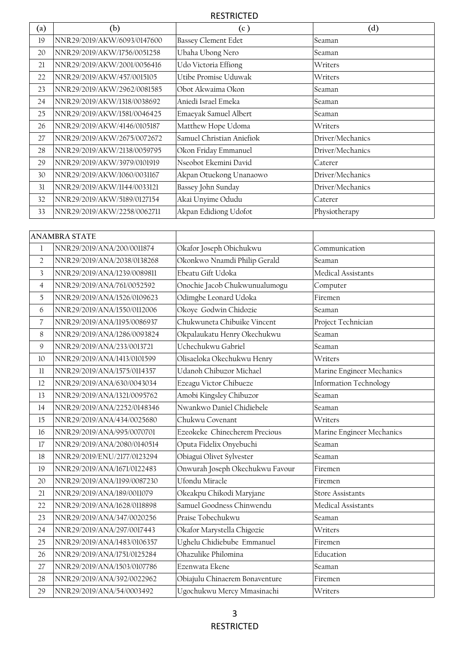| (a) | (b)                         | (c )                       | (d)              |
|-----|-----------------------------|----------------------------|------------------|
| 19  | NNR29/2019/AKW/6093/0147600 | <b>Bassey Clement Edet</b> | Seaman           |
| 20  | NNR29/2019/AKW/1756/0051258 | Ubaha Ubong Nero           | Seaman           |
| 21  | NNR29/2019/AKW/2001/0056416 | Udo Victoria Effiong       | Writers          |
| 22  | NNR29/2019/AKW/457/0015105  | Utibe Promise Uduwak       | Writers          |
| 23  | NNR29/2019/AKW/2962/0081585 | Obot Akwaima Okon          | Seaman           |
| 24  | NNR29/2019/AKW/1318/0038692 | Aniedi Israel Emeka        | Seaman           |
| 25  | NNR29/2019/AKW/1581/0046425 | Emaeyak Samuel Albert      | Seaman           |
| 26  | NNR29/2019/AKW/4146/0105187 | Matthew Hope Udoma         | Writers          |
| 27  | NNR29/2019/AKW/2675/0072672 | Samuel Christian Aniefiok  | Driver/Mechanics |
| 28  | NNR29/2019/AKW/2138/0059795 | Okon Friday Emmanuel       | Driver/Mechanics |
| 29  | NNR29/2019/AKW/3979/0101919 | Nseobot Ekemini David      | Caterer          |
| 30  | NNR29/2019/AKW/1060/0031167 | Akpan Otuekong Unanaowo    | Driver/Mechanics |
| 31  | NNR29/2019/AKW/1144/0033121 | Bassey John Sunday         | Driver/Mechanics |
| 32  | NNR29/2019/AKW/5189/0127154 | Akai Unyime Odudu          | Caterer          |
| 33  | NNR29/2019/AKW/2258/0062711 | Akpan Edidiong Udofot      | Physiotherapy    |

|                | <b>ANAMBRA STATE</b>        |                                 |                               |
|----------------|-----------------------------|---------------------------------|-------------------------------|
| $\mathbf{1}$   | NNR29/2019/ANA/200/0011874  | Okafor Joseph Obichukwu         | Communication                 |
| $\overline{2}$ | NNR29/2019/ANA/2038/0138268 | Okonkwo Nnamdi Philip Gerald    | Seaman                        |
| $\overline{3}$ | NNR29/2019/ANA/1239/0089811 | Ebeatu Gift Udoka               | Medical Assistants            |
| $\overline{4}$ | NNR29/2019/ANA/761/0052592  | Onochie Jacob Chukwunualumogu   | Computer                      |
| 5              | NNR29/2019/ANA/1526/0109623 | Odimgbe Leonard Udoka           | Firemen                       |
| 6              | NNR29/2019/ANA/1550/0112006 | Okoye Godwin Chidozie           | Seaman                        |
| 7              | NNR29/2019/ANA/1195/0086937 | Chukwuneta Chibuike Vincent     | Project Technician            |
| 8              | NNR29/2019/ANA/1286/0093824 | Okpalaukatu Henry Okechukwu     | Seaman                        |
| 9              | NNR29/2019/ANA/233/0013721  | Uchechukwu Gabriel              | Seaman                        |
| 10             | NNR29/2019/ANA/1413/0101599 | Olisaeloka Okechukwu Henry      | Writers                       |
| 11             | NNR29/2019/ANA/1575/0114357 | Udanoh Chibuzor Michael         | Marine Engineer Mechanics     |
| 12             | NNR29/2019/ANA/630/0043034  | Ezeagu Victor Chibueze          | <b>Information Technology</b> |
| 13             | NNR29/2019/ANA/1321/0095762 | Amobi Kingsley Chibuzor         | Seaman                        |
| 14             | NNR29/2019/ANA/2252/0148346 | Nwankwo Daniel Chidiebele       | Seaman                        |
| 15             | NNR29/2019/ANA/434/0025680  | Chukwu Covenant                 | Writers                       |
| 16             | NNR29/2019/ANA/995/0070701  | Ezeokeke Chinecherem Precious   | Marine Engineer Mechanics     |
| 17             | NNR29/2019/ANA/2080/0140514 | Oputa Fidelix Onyebuchi         | Seaman                        |
| 18             | NNR29/2019/ENU/2177/0123294 | Obiagui Olivet Sylvester        | Seaman                        |
| 19             | NNR29/2019/ANA/1671/0122483 | Onwurah Joseph Okechukwu Favour | Firemen                       |
| 20             | NNR29/2019/ANA/1199/0087230 | Ufondu Miracle                  | Firemen                       |
| 21             | NNR29/2019/ANA/189/0011079  | Okeakpu Chikodi Maryjane        | <b>Store Assistants</b>       |
| 22             | NNR29/2019/ANA/1628/0118898 | Samuel Goodness Chinwendu       | Medical Assistants            |
| 23             | NNR29/2019/ANA/347/0020256  | Praise Tobechukwu               | Seaman                        |
| 24             | NNR29/2019/ANA/297/0017443  | Okafor Marystella Chigozie      | Writers                       |
| 25             | NNR29/2019/ANA/1483/0106357 | Ughelu Chidiebube Emmanuel      | Firemen                       |
| 26             | NNR29/2019/ANA/1751/0125284 | Ohazulike Philomina             | Education                     |
| 27             | NNR29/2019/ANA/1503/0107786 | Ezenwata Ekene                  | Seaman                        |
| 28             | NNR29/2019/ANA/392/0022962  | Obiajulu Chinaerem Bonaventure  | Firemen                       |
| 29             | NNR29/2019/ANA/54/0003492   | Ugochukwu Mercy Mmasinachi      | Writers                       |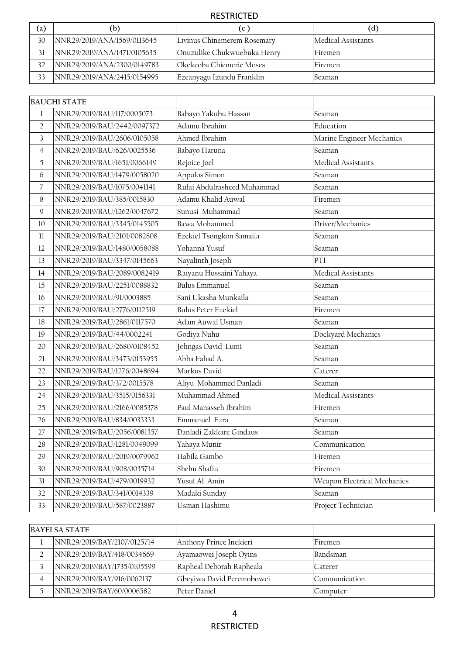| (a) | (b)                         | (C)                         | (d)                |
|-----|-----------------------------|-----------------------------|--------------------|
| 30  | NNR29/2019/ANA/1569/0113645 | Livinus Chinemerem Rosemary | Medical Assistants |
| 31  | NNR29/2019/ANA/1471/0105635 | Onuzulike Chukwuebuka Henry | Firemen            |
| 32  | NNR29/2019/ANA/2300/0149783 | lOkekeoba Chiemerie Moses   | Firemen            |
|     | NNR29/2019/ANA/2415/0154995 | Ezeanyagu Izundu Franklin   | Seaman             |

|                | <b>BAUCHI STATE</b>         |                             |                             |
|----------------|-----------------------------|-----------------------------|-----------------------------|
| $\mathbf{1}$   | NNR29/2019/BAU/117/0005073  | Babayo Yakubu Hassan        | Seaman                      |
| $\overline{2}$ | NNR29/2019/BAU/2442/0097372 | Adamu Ibrahim               | Education                   |
| 3              | NNR29/2019/BAU/2606/0105058 | Ahmed Ibrahim               | Marine Engineer Mechanics   |
| $\overline{4}$ | NNR29/2019/BAU/626/0025536  | Babayo Haruna               | Seaman                      |
| 5              | NNR29/2019/BAU/1651/0066149 | Rejoice Joel                | Medical Assistants          |
| 6              | NNR29/2019/BAU/1479/0058020 | Appolos Simon               | Seaman                      |
| $\overline{7}$ | NNR29/2019/BAU/1075/0041141 | Rufai Abdulrasheed Muhammad | Seaman                      |
| 8              | NNR29/2019/BAU/385/0015830  | Adamu Khalid Auwal          | Firemen                     |
| 9              | NNR29/2019/BAU/1262/0047672 | Sunusi Muhammad             | Seaman                      |
| 10             | NNR29/2019/BAU/3345/0145505 | Bawa Mohammed               | Driver/Mechanics            |
| 11             | NNR29/2019/BAU/2101/0082808 | Ezekiel Tsongkon Samaila    | Seaman                      |
| 12             | NNR29/2019/BAU/1480/0058088 | Yohanna Yusuf               | Seaman                      |
| 13             | NNR29/2019/BAU/3347/0145663 | Nayalinth Joseph            | PTI                         |
| 14             | NNR29/2019/BAU/2089/0082419 | Raiyanu Hussaini Yahaya     | Medical Assistants          |
| 15             | NNR29/2019/BAU/2251/0088832 | <b>Bulus Emmanuel</b>       | Seaman                      |
| 16             | NNR29/2019/BAU/91/0003885   | Sani Ukasha Munkaila        | Seaman                      |
| 17             | NNR29/2019/BAU/2776/0112519 | <b>Bulus Peter Ezekiel</b>  | Firemen                     |
| 18             | NNR29/2019/BAU/2861/0117570 | Adam Auwal Usman            | Seaman                      |
| 19             | NNR29/2019/BAU/44/0002241   | Godiya Nuhu                 | Dockyard Mechanics          |
| 20             | NNR29/2019/BAU/2680/0108452 | Johngas David Lumi          | Seaman                      |
| 21             | NNR29/2019/BAU/3473/0153955 | Abba Fahad A.               | Seaman                      |
| 22             | NNR29/2019/BAU/1276/0048694 | Markus David                | Caterer                     |
| 23             | NNR29/2019/BAU/372/0015578  | Aliyu Mohammed Danladi      | Seaman                      |
| 24             | NNR29/2019/BAU/3515/0156331 | Muhammad Ahmed              | Medical Assistants          |
| 25             | NNR29/2019/BAU/2166/0085378 | Paul Manasseh Ibrahim       | Firemen                     |
| 26             | NNR29/2019/BAU/834/0033333  | Emmanuel Ezra               | Seaman                      |
| 27             | NNR29/2019/BAU/2056/0081357 | Danladi Zakkare Gindaus     | Seaman                      |
| 28             | NNR29/2019/BAU/1281/0049099 | Yahaya Munir                | Communication               |
| 29             | NNR29/2019/BAU/2019/0079962 | Habila Gambo                | Firemen                     |
| 30             | NNR29/2019/BAU/908/0035714  | Shehu Shafiu                | Firemen                     |
| 31             | NNR29/2019/BAU/479/0019932  | Yusuf Al Amin               | Weapon Electrical Mechanics |
| 32             | NNR29/2019/BAU/341/0014339  | Madaki Sunday               | Seaman                      |
| 33             | NNR29/2019/BAU/587/0023887  | Usman Hashimu               | Project Technician          |

| BAYELSA STATE               |                           |               |
|-----------------------------|---------------------------|---------------|
| NNR29/2019/BAY/2107/0125714 | Anthony Prince Inekieri   | Firemen       |
| NNR29/2019/BAY/418/0034669  | Ayamaowei Joseph Oyins    | Bandsman      |
| NNR29/2019/BAY/1735/0105599 | Rapheal Deborah Rapheala  | Caterer       |
| NNR29/2019/BAY/916/0062137  | Gbeyiwa David Peremobowei | Communication |
| NNR29/2019/BAY/60/0006582   | Peter Daniel              | Computer      |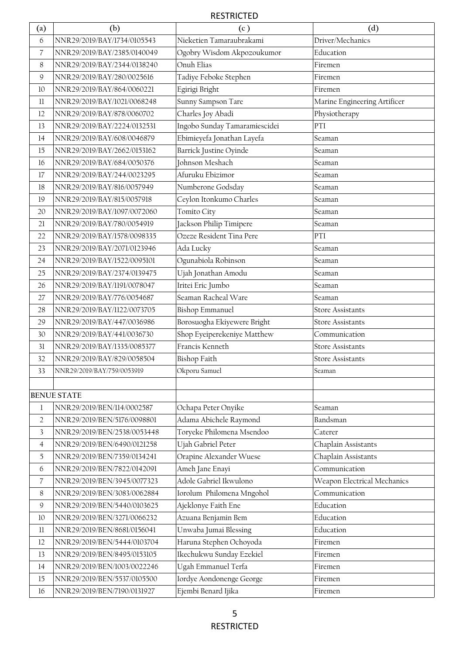| $\left( \text{a}\right)$ | (b)                         | (c)                           | (d)                          |
|--------------------------|-----------------------------|-------------------------------|------------------------------|
| 6                        | NNR29/2019/BAY/1734/0105543 | Nieketien Tamaraubrakami      | Driver/Mechanics             |
| $\overline{7}$           | NNR29/2019/BAY/2385/0140049 | Ogobry Wisdom Akpozoukumor    | Education                    |
| 8                        | NNR29/2019/BAY/2344/0138240 | Onuh Elias                    | Firemen                      |
| 9                        | NNR29/2019/BAY/280/0025616  | Tadiye Feboke Stephen         | Firemen                      |
| 10                       | NNR29/2019/BAY/864/0060221  | Egirigi Bright                | Firemen                      |
| $_{11}$                  | NNR29/2019/BAY/1021/0068248 | Sunny Sampson Tare            | Marine Engineering Artificer |
| 12                       | NNR29/2019/BAY/878/0060702  | Charles Joy Abadi             | Physiotherapy                |
| 13                       | NNR29/2019/BAY/2224/0132531 | Ingobo Sunday Tamaramiescidei | PTI                          |
| 14                       | NNR29/2019/BAY/608/0046879  | Ebimieyefa Jonathan Layefa    | Seaman                       |
| 15                       | NNR29/2019/BAY/2662/0153162 | Barrick Justine Oyinde        | Seaman                       |
| 16                       | NNR29/2019/BAY/684/0050376  | Johnson Meshach               | Seaman                       |
| 17                       | NNR29/2019/BAY/244/0023295  | Afuruku Ebizimor              | Seaman                       |
| 18                       | NNR29/2019/BAY/816/0057949  | Numberone Godsday             | Seaman                       |
| 19                       | NNR29/2019/BAY/815/0057918  | Ceylon Itonkumo Charles       | Seaman                       |
| 20                       | NNR29/2019/BAY/1097/0072060 | Tomito City                   | Seaman                       |
| 21                       | NNR29/2019/BAY/780/0054919  | Jackson Philip Timipere       | Seaman                       |
| 22                       | NNR29/2019/BAY/1578/0098335 | Ozeze Resident Tina Pere      | PTI                          |
| 23                       | NNR29/2019/BAY/2071/0123946 | Ada Lucky                     | Seaman                       |
| 24                       | NNR29/2019/BAY/1522/0095101 | Ogunabiola Robinson           | Seaman                       |
| 25                       | NNR29/2019/BAY/2374/0139475 | Ujah Jonathan Amodu           | Seaman                       |
| 26                       | NNR29/2019/BAY/1191/0078047 | Iritei Eric Jumbo             | Seaman                       |
| 27                       | NNR29/2019/BAY/776/0054687  | Seaman Racheal Ware           | Seaman                       |
| 28                       | NNR29/2019/BAY/1122/0073705 | <b>Bishop Emmanuel</b>        | <b>Store Assistants</b>      |
| 29                       | NNR29/2019/BAY/447/0036986  | Borosuogha Ekiyewere Bright   | <b>Store Assistants</b>      |
| 30                       | NNR29/2019/BAY/441/0036730  | Shop Eyeiperekeniye Matthew   | Communication                |
| 31                       | NNR29/2019/BAY/1335/0085377 | Francis Kenneth               | <b>Store Assistants</b>      |
| 32                       | NNR29/2019/BAY/829/0058504  | <b>Bishop Faith</b>           | <b>Store Assistants</b>      |
| 33                       | NNR29/2019/BAY/759/0053919  | Okporu Samuel                 | Seaman                       |
|                          |                             |                               |                              |
|                          | <b>BENUE STATE</b>          |                               |                              |
| 1                        | NNR29/2019/BEN/114/0002587  | Ochapa Peter Onyike           | Seaman                       |
| $\overline{2}$           | NNR29/2019/BEN/5176/0098801 | Adama Abichele Raymond        | Bandsman                     |
| $\overline{\mathbf{3}}$  | NNR29/2019/BEN/2538/0053448 | Toryeke Philomena Msendoo     | Caterer                      |
| $\overline{4}$           | NNR29/2019/BEN/6490/0121258 | Ujah Gabriel Peter            | Chaplain Assistants          |
| 5                        | NNR29/2019/BEN/7359/0134241 | Orapine Alexander Wuese       | Chaplain Assistants          |
| 6                        | NNR29/2019/BEN/7822/0142091 | Ameh Jane Enayi               | Communication                |
| $\overline{7}$           | NNR29/2019/BEN/3945/0077323 | Adole Gabriel Ikwulono        | Weapon Electrical Mechanics  |
| 8                        | NNR29/2019/BEN/3083/0062884 | Iorolum Philomena Mngohol     | Communication                |
| $\mathsf{9}$             | NNR29/2019/BEN/5440/0103625 | Ajeklonye Faith Ene           | Education                    |
| 10                       | NNR29/2019/BEN/3271/0066232 | Azuana Benjamin Bem           | Education                    |
| 11                       | NNR29/2019/BEN/8681/0156041 | Unwaba Jumai Blessing         | Education                    |
| 12                       | NNR29/2019/BEN/5444/0103704 | Haruna Stephen Ochoyoda       | Firemen                      |
| 13                       | NNR29/2019/BEN/8495/0153105 | Ikechukwu Sunday Ezekiel      | Firemen                      |
| 14                       | NNR29/2019/BEN/1003/0022246 | Ugah Emmanuel Terfa           | Firemen                      |
| 15                       | NNR29/2019/BEN/5537/0105500 | Iordye Aondonenge George      | Firemen                      |
| 16                       | NNR29/2019/BEN/7190/0131927 | Ejembi Benard Ijika           | Firemen                      |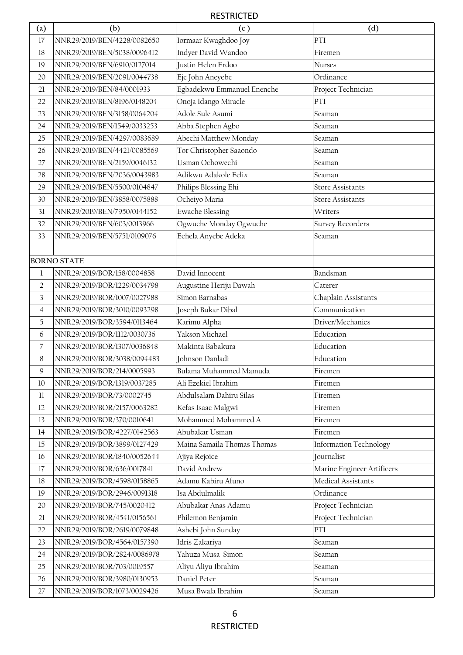| $\left( \text{a}\right)$ | (b)                         | (c)                         | (d)                           |
|--------------------------|-----------------------------|-----------------------------|-------------------------------|
| 17                       | NNR29/2019/BEN/4228/0082650 | Iormaar Kwaghdoo Joy        | PTI                           |
| 18                       | NNR29/2019/BEN/5038/0096412 | Indyer David Wandoo         | Firemen                       |
| 19                       | NNR29/2019/BEN/6910/0127014 | Justin Helen Erdoo          | Nurses                        |
| 20                       | NNR29/2019/BEN/2091/0044738 | Eje John Aneyebe            | Ordinance                     |
| 21                       | NNR29/2019/BEN/84/0001933   | Egbadekwu Emmanuel Enenche  | Project Technician            |
| 22                       | NNR29/2019/BEN/8196/0148204 | Onoja Idango Miracle        | PTI                           |
| 23                       | NNR29/2019/BEN/3158/0064204 | Adole Sule Asumi            | Seaman                        |
| 24                       | NNR29/2019/BEN/1549/0033253 | Abba Stephen Agbo           | Seaman                        |
| 25                       | NNR29/2019/BEN/4297/0083689 | Abechi Matthew Monday       | Seaman                        |
| 26                       | NNR29/2019/BEN/4421/0085569 | Tor Christopher Saaondo     | Seaman                        |
| 27                       | NNR29/2019/BEN/2159/0046132 | Usman Ochowechi             | Seaman                        |
| 28                       | NNR29/2019/BEN/2036/0043983 | Adikwu Adakole Felix        | Seaman                        |
| 29                       | NNR29/2019/BEN/5500/0104847 | Philips Blessing Ehi        | <b>Store Assistants</b>       |
| 30                       | NNR29/2019/BEN/3858/0075888 | Ocheiyo Maria               | <b>Store Assistants</b>       |
| 31                       | NNR29/2019/BEN/7950/0144152 | <b>Ewache Blessing</b>      | Writers                       |
| 32                       | NNR29/2019/BEN/603/0013966  | Ogwuche Monday Ogwuche      | Survey Recorders              |
| 33                       | NNR29/2019/BEN/5751/0109076 | Echela Anyebe Adeka         | Seaman                        |
|                          |                             |                             |                               |
|                          | <b>BORNO STATE</b>          |                             |                               |
| $\mathbf 1$              | NNR29/2019/BOR/158/0004858  | David Innocent              | Bandsman                      |
| $\overline{2}$           | NNR29/2019/BOR/1229/0034798 | Augustine Heriju Dawah      | Caterer                       |
| 3                        | NNR29/2019/BOR/1007/0027988 | Simon Barnabas              | Chaplain Assistants           |
| $\overline{4}$           | NNR29/2019/BOR/3010/0093298 | Joseph Bukar Dibal          | Communication                 |
| 5                        | NNR29/2019/BOR/3594/0113464 | Karimu Alpha                | Driver/Mechanics              |
| 6                        | NNR29/2019/BOR/1112/0030736 | Yakson Michael              | Education                     |
| 7                        | NNR29/2019/BOR/1307/0036848 | Makinta Babakura            | Education                     |
| 8                        | NNR29/2019/BOR/3038/0094483 | Johnson Danladi             | Education                     |
| 9                        | NNR29/2019/BOR/214/0005993  | Bulama Muhammed Mamuda      | Firemen                       |
| 10                       | NNR29/2019/BOR/1319/0037285 | Ali Ezekiel Ibrahim         | Firemen                       |
| $11\,$                   | NNR29/2019/BOR/73/0002745   | Abdulsalam Dahiru Silas     | Firemen                       |
| 12                       | NNR29/2019/BOR/2157/0063282 | Kefas Isaac Malgwi          | Firemen                       |
| 13                       | NNR29/2019/BOR/370/0010641  | Mohammed Mohammed A         | Firemen                       |
| 14                       | NNR29/2019/BOR/4227/0142563 | Abubakar Usman              | Firemen                       |
| 15                       | NNR29/2019/BOR/3899/0127429 | Maina Samaila Thomas Thomas | <b>Information Technology</b> |
| 16                       | NNR29/2019/BOR/1840/0052644 | Ajiya Rejoice               | Journalist                    |
| 17                       | NNR29/2019/BOR/636/0017841  | David Andrew                | Marine Engineer Artificers    |
| $18\,$                   | NNR29/2019/BOR/4598/0158865 | Adamu Kabiru Afuno          | Medical Assistants            |
| 19                       | NNR29/2019/BOR/2946/0091318 | Isa Abdulmalik              | Ordinance                     |
| 20                       | NNR29/2019/BOR/745/0020412  | Abubakar Anas Adamu         | Project Technician            |
| 21                       | NNR29/2019/BOR/4541/0156561 | Philemon Benjamin           | Project Technician            |
| 22                       | NNR29/2019/BOR/2619/0079848 | Ashebi John Sunday          | PTI                           |
| 23                       | NNR29/2019/BOR/4564/0157390 | Idris Zakariya              | Seaman                        |
| 24                       | NNR29/2019/BOR/2824/0086978 | Yahuza Musa Simon           | Seaman                        |
| 25                       | NNR29/2019/BOR/703/0019557  | Aliyu Aliyu Ibrahim         | Seaman                        |
| 26                       | NNR29/2019/BOR/3980/0130953 | Daniel Peter                | Seaman                        |
| 27                       | NNR29/2019/BOR/1073/0029426 | Musa Bwala Ibrahim          | Seaman                        |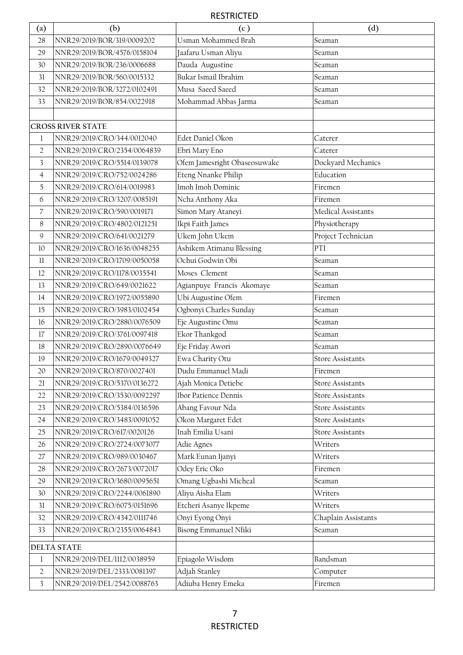| $\left( \text{a}\right)$ | (b)                                                                                       | (c)                                                    | (d)                             |
|--------------------------|-------------------------------------------------------------------------------------------|--------------------------------------------------------|---------------------------------|
| 28                       | NNR29/2019/BOR/319/0009202                                                                | Usman Mohammed Brah                                    | Seaman                          |
| 29                       | NNR29/2019/BOR/4576/0158104                                                               | Jaafaru Usman Aliyu                                    | Seaman                          |
| 30                       | NNR29/2019/BOR/236/0006688                                                                | Dauda Augustine                                        | Seaman                          |
| 31                       | NNR29/2019/BOR/560/0015332                                                                | Bukar Ismail Ibrahim                                   | Seaman                          |
| 32                       | NNR29/2019/BOR/3272/0102491                                                               | Musa Saeed Saeed                                       | Seaman                          |
| 33                       | NNR29/2019/BOR/854/0022918                                                                | Mohammad Abbas Jarma                                   | Seaman                          |
|                          |                                                                                           |                                                        |                                 |
|                          | <b>CROSS RIVER STATE</b>                                                                  |                                                        |                                 |
| 1                        | NNR29/2019/CRO/344/0012040                                                                | Edet Daniel Okon                                       | Caterer                         |
| $\overline{2}$           | NNR29/2019/CRO/2354/0064839                                                               | Ebri Mary Eno                                          | Caterer                         |
| 3                        | NNR29/2019/CRO/5514/0139078                                                               | Ofem Jamesright Obaseosuwake                           | Dockyard Mechanics              |
| $\overline{4}$           | NNR29/2019/CRO/752/0024286                                                                | Eteng Nnanke Philip                                    | Education                       |
| 5                        | NNR29/2019/CRO/614/0019983                                                                | Imoh Imoh Dominic                                      | Firemen                         |
| 6                        | NNR29/2019/CRO/3207/0085191                                                               | Ncha Anthony Aka                                       | Firemen                         |
| 7                        | NNR29/2019/CRO/590/0019171                                                                | Simon Mary Ataneyi                                     | Medical Assistants              |
| 8                        | NNR29/2019/CRO/4802/0121251                                                               | Ikpi Faith James                                       | Physiotherapy                   |
| 9                        | NNR29/2019/CRO/641/0021279                                                                | Ukem John Ukem                                         | Project Technician              |
| 10                       | NNR29/2019/CRO/1636/0048255                                                               | Ashikem Atimanu Blessing                               | PTI                             |
| 11                       | NNR29/2019/CRO/1709/0050058                                                               | Ochui Godwin Obi                                       | Seaman                          |
| 12                       | NNR29/2019/CRO/1178/0035541                                                               | Moses Clement                                          | Seaman                          |
| 13                       | NNR29/2019/CRO/649/0021622                                                                | Agianpuye Francis Akomaye                              | Seaman                          |
| 14                       | NNR29/2019/CRO/1972/0055890                                                               | Ubi Augustine Ofem                                     | Firemen                         |
| 15                       | NNR29/2019/CRO/3983/0102454                                                               | Ogbonyi Charles Sunday                                 | Seaman                          |
| 16                       | NNR29/2019/CRO/2880/0076509                                                               | Eje Augustine Omu                                      | Seaman                          |
| 17                       | NNR29/2019/CRO/3761/0097418                                                               | Ekor Thankgod                                          | Seaman                          |
| 18                       | NNR29/2019/CRO/2890/0076649                                                               | Eje Friday Awori                                       | Seaman                          |
| 19                       | NNR29/2019/CRO/1679/0049327                                                               | Ewa Charity Otu                                        | <b>Store Assistants</b>         |
| 20                       | NNR29/2019/CRO/870/0027401                                                                | Dudu Emmanuel Madi                                     | Firemen                         |
| 21                       | NNR29/2019/CRO/5370/0136272                                                               | Ajah Monica Detiebe                                    | Store Assistants                |
| 22                       | NNR29/2019/CRO/3530/0092297                                                               | Ibor Patience Dennis                                   | <b>Store Assistants</b>         |
| 23                       | NNR29/2019/CRO/5384/0136596                                                               | Abang Favour Nda                                       | <b>Store Assistants</b>         |
| 24                       | NNR29/2019/CRO/3483/0091052                                                               | Okon Margaret Edet                                     | <b>Store Assistants</b>         |
| 25                       | NNR29/2019/CRO/617/0020126                                                                | Inah Emilia Usani                                      | Store Assistants                |
| 26                       | NNR29/2019/CRO/2724/0073077                                                               | Adie Agnes                                             | Writers                         |
| 27                       | NNR29/2019/CRO/989/0030467                                                                | Mark Eunan Ijanyi                                      | Writers                         |
| 28                       | NNR29/2019/CRO/2673/0072017                                                               | Odey Eric Oko                                          | Firemen                         |
| 29                       | NNR29/2019/CRO/3680/0095651                                                               | Omang Ugbashi Micheal                                  | Seaman                          |
| 30                       | NNR29/2019/CRO/2244/0061890                                                               | Aliyu Aisha Elam                                       | Writers                         |
| 31                       | NNR29/2019/CRO/6075/0151696                                                               | Etcheri Asanye Ikpeme                                  | Writers                         |
| 32                       | NNR29/2019/CRO/4342/0111746                                                               | Onyi Eyong Onyi                                        | Chaplain Assistants             |
| 33                       | NNR29/2019/CRO/2355/0064843                                                               | Bisong Emmanuel Nfiki                                  | Seaman                          |
|                          | <b>DELTA STATE</b>                                                                        |                                                        |                                 |
|                          |                                                                                           |                                                        |                                 |
|                          |                                                                                           |                                                        |                                 |
|                          |                                                                                           |                                                        |                                 |
| 1<br>$\sqrt{2}$<br>3     | NNR29/2019/DEL/1112/0038959<br>NNR29/2019/DEL/2333/0081397<br>NNR29/2019/DEL/2542/0088763 | Epiagolo Wisdom<br>Adjah Stanley<br>Adiuba Henry Emeka | Bandsman<br>Computer<br>Firemen |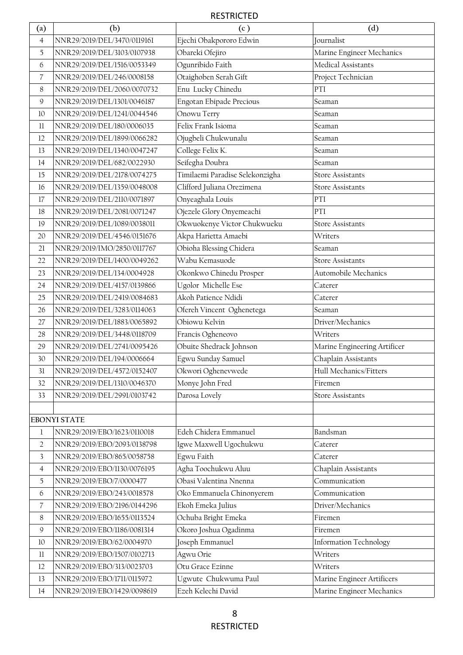| $\left( \text{a}\right)$ | (b)                         | (c)                             | (d)                           |
|--------------------------|-----------------------------|---------------------------------|-------------------------------|
| $\overline{4}$           | NNR29/2019/DEL/3470/0119161 | Ejechi Obakpororo Edwin         | Journalist                    |
| 5                        | NNR29/2019/DEL/3103/0107938 | Obareki Ofejiro                 | Marine Engineer Mechanics     |
| 6                        | NNR29/2019/DEL/1516/0053349 | Ogunribido Faith                | Medical Assistants            |
| $\overline{7}$           | NNR29/2019/DEL/246/0008158  | Otaighoben Serah Gift           | Project Technician            |
| 8                        | NNR29/2019/DEL/2060/0070732 | Enu Lucky Chinedu               | PTI                           |
| 9                        | NNR29/2019/DEL/1301/0046187 | Engotan Ebipade Precious        | Seaman                        |
| 10                       | NNR29/2019/DEL/1241/0044546 | Onowu Terry                     | Seaman                        |
| 11                       | NNR29/2019/DEL/180/0006035  | Felix Frank Isioma              | Seaman                        |
| 12                       | NNR29/2019/DEL/1899/0066282 | Ojugbeli Chukwunalu             | Seaman                        |
| 13                       | NNR29/2019/DEL/1340/0047247 | College Felix K.                | Seaman                        |
| 14                       | NNR29/2019/DEL/682/0022930  | Seifegha Doubra                 | Seaman                        |
| 15                       | NNR29/2019/DEL/2178/0074275 | Timilaemi Paradise Selekonzigha | <b>Store Assistants</b>       |
| 16                       | NNR29/2019/DEL/1359/0048008 | Clifford Juliana Orezimena      | <b>Store Assistants</b>       |
| 17                       | NNR29/2019/DEL/2110/0071897 | Onyeaghala Louis                | PTI                           |
| 18                       | NNR29/2019/DEL/2081/0071247 | Ojezele Glory Onyemeachi        | PTI                           |
| 19                       | NNR29/2019/DEL/1089/0038011 | Okwuokenye Victor Chukwueku     | <b>Store Assistants</b>       |
| 20                       | NNR29/2019/DEL/4546/0151676 | Akpa Harietta Amaebi            | Writers                       |
| 21                       | NNR29/2019/IMO/2850/0117767 | Obioha Blessing Chidera         | Seaman                        |
| 22                       | NNR29/2019/DEL/1400/0049262 | Wabu Kemasuode                  | <b>Store Assistants</b>       |
| 23                       | NNR29/2019/DEL/134/0004928  | Okonkwo Chinedu Prosper         | Automobile Mechanics          |
| 24                       | NNR29/2019/DEL/4157/0139866 | Ugolor Michelle Ese             | Caterer                       |
| 25                       | NNR29/2019/DEL/2419/0084683 | Akoh Patience Ndidi             | Caterer                       |
| 26                       | NNR29/2019/DEL/3283/0114063 | Ofereh Vincent Oghenetega       | Seaman                        |
| 27                       | NNR29/2019/DEL/1883/0065892 | Obiowu Kelvin                   | Driver/Mechanics              |
| 28                       | NNR29/2019/DEL/3448/0118709 | Francis Ogheneovo               | Writers                       |
| 29                       | NNR29/2019/DEL/2741/0095426 | Obuite Shedrack Johnson         | Marine Engineering Artificer  |
| 30                       | NNR29/2019/DEL/194/0006664  | Egwu Sunday Samuel              | Chaplain Assistants           |
| 31                       | NNR29/2019/DEL/4572/0152407 | Okwori Oghenevwede              | Hull Mechanics/Fitters        |
| 32                       | NNR29/2019/DEL/1310/0046370 | Monye John Fred                 | Firemen                       |
| 33                       | NNR29/2019/DEL/2991/0103742 | Darosa Lovely                   | <b>Store Assistants</b>       |
|                          |                             |                                 |                               |
|                          | <b>EBONYI STATE</b>         |                                 |                               |
| 1                        | NNR29/2019/EBO/1623/0110018 | Edeh Chidera Emmanuel           | Bandsman                      |
| $\overline{2}$           | NNR29/2019/EBO/2093/0138798 | Igwe Maxwell Ugochukwu          | Caterer                       |
| 3                        | NNR29/2019/EBO/865/0058758  | Egwu Faith                      | Caterer                       |
| $\overline{4}$           | NNR29/2019/EBO/1130/0076195 | Agha Toochukwu Aluu             | Chaplain Assistants           |
| $\overline{5}$           | NNR29/2019/EBO/7/0000477    | Obasi Valentina Nnenna          | Communication                 |
| 6                        | NNR29/2019/EBO/243/0018578  | Oko Emmanuela Chinonyerem       | Communication                 |
| $\overline{\mathcal{L}}$ | NNR29/2019/EBO/2196/0144296 | Ekoh Emeka Julius               | Driver/Mechanics              |
| $8\,$                    | NNR29/2019/EBO/1655/0113524 | Ochuba Bright Emeka             | Firemen                       |
| $\mathsf{9}$             | NNR29/2019/EBO/1186/0081314 | Okoro Joshua Ogadinma           | Firemen                       |
| 10                       | NNR29/2019/EBO/62/0004970   | Joseph Emmanuel                 | <b>Information Technology</b> |
| $11\,$                   | NNR29/2019/EBO/1507/0102713 | Agwu Orie                       | Writers                       |
| 12                       | NNR29/2019/EBO/313/0023703  | Otu Grace Ezinne                | Writers                       |
| 13                       | NNR29/2019/EBO/1711/0115972 | Ugwute Chukwuma Paul            | Marine Engineer Artificers    |
| 14                       | NNR29/2019/EBO/1429/0098619 | Ezeh Kelechi David              | Marine Engineer Mechanics     |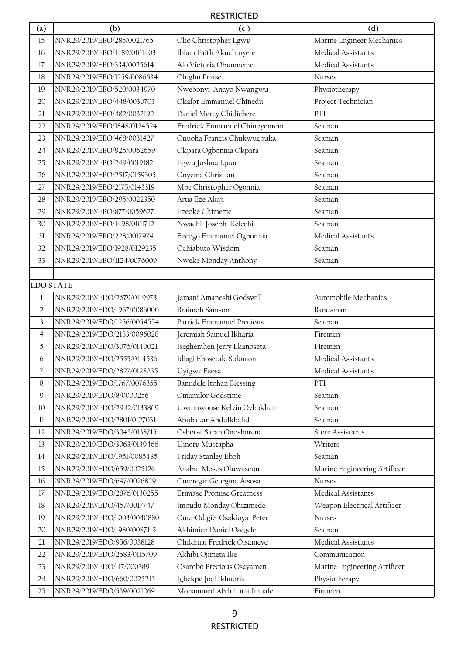| $\left( \text{a}\right)$ | (b)                         | (c)                           | (d)                          |
|--------------------------|-----------------------------|-------------------------------|------------------------------|
| 15                       | NNR29/2019/EBO/285/0021765  | Oko Christopher Egwu          | Marine Engineer Mechanics    |
| 16                       | NNR29/2019/EBO/1489/0101403 | Ibiam Faith Akuchinyere       | Medical Assistants           |
| 17                       | NNR29/2019/EBO/334/0025614  | Alo Victoria Obumneme         | Medical Assistants           |
| 18                       | NNR29/2019/EBO/1259/0086634 | Olughu Praise                 | Nurses                       |
| 19                       | NNR29/2019/EBO/520/0034970  | Nwebonyi Anayo Nwangwu        | Physiotherapy                |
| 20                       | NNR29/2019/EBO/448/0030703  | Okafor Emmanuel Chinedu       | Project Technician           |
| 21                       | NNR29/2019/EBO/482/0032192  | Daniel Mercy Chidiebere       | PTI                          |
| 22                       | NNR29/2019/EBO/1848/0124524 | Fredrick Emmanuel Chinoyenrem | Seaman                       |
| 23                       | NNR29/2019/EBO/468/0031427  | Onuoha Francis Chukwuebuka    | Seaman                       |
| 24                       | NNR29/2019/EBO/925/0062659  | Okpara Ogbonnia Okpara        | Seaman                       |
| 25                       | NNR29/2019/EBO/249/0019182  | Egwu Joshua Iquor             | Seaman                       |
| 26                       | NNR29/2019/EBO/2517/0159305 | Onyema Christian              | Seaman                       |
| 27                       | NNR29/2019/EBO/2175/0143319 | Mbe Christopher Ogonnia       | Seaman                       |
| 28                       | NNR29/2019/EBO/295/0022350  | Arua Eze Akaji                | Seaman                       |
| 29                       | NNR29/2019/EBO/877/0059627  | Ezeoke Chimezie               | Seaman                       |
| 30                       | NNR29/2019/EBO/1498/0101712 | Nwachi Joseph Kelechi         | Seaman                       |
| 31                       | NNR29/2019/EBO/228/0017974  | Ezeogo Emmanuel Ogbonnia      | Medical Assistants           |
| 32                       | NNR29/2019/EBO/1928/0129235 | Ochiabuto Wisdom              | Seaman                       |
| 33                       | NNR29/2019/EBO/1124/0076009 | Nweke Monday Anthony          | Seaman                       |
|                          |                             |                               |                              |
| <b>EDO STATE</b>         |                             |                               |                              |
| $\mathbf{1}$             | NNR29/2019/EDO/2679/0119973 | Jamani Amaneshi Godswill      | Automobile Mechanics         |
| $\overline{2}$           | NNR29/2019/EDO/1967/0086000 | Braimoh Samson                | Bandsman                     |
| 3                        | NNR29/2019/EDO/1256/0054554 | Patrick Emmanuel Precious     | Seaman                       |
| $\overline{4}$           | NNR29/2019/EDO/2183/0096028 | Jeremiah Samuel Ikharia       | Firemen                      |
| $\overline{5}$           | NNR29/2019/EDO/3076/0140021 | Iseghemhen Jerry Ekanoseta    | Firemen                      |
| 6                        | NNR29/2019/EDO/2555/0114536 | Idiagi Ebosetale Solomon      | Medical Assistants           |
| 7                        | NNR29/2019/EDO/2827/0128235 | Uyigwe Esosa                  | Medical Assistants           |
| 8                        | NNR29/2019/EDO/1767/0076355 | Bamidele Itohan Blessing      | PTI                          |
| $\mathsf 9$              | NNR29/2019/EDO/8/0000256    | Omamilor Godstime             | Seaman                       |
| $10\,$                   | NNR29/2019/EDO/2942/0133869 | Uwumwonse Kelvin Ovbokhan     | Seaman                       |
| 11                       | NNR29/2019/EDO/2801/0127031 | Abubakar Abdulkhalid          | Seaman                       |
| 12                       | NNR29/2019/EDO/3043/0138715 | Oshotse Sarah Onoshorena      | <b>Store Assistants</b>      |
| 13                       | NNR29/2019/EDO/3063/0139466 | Umoru Mustapha                | Writers                      |
| 14                       | NNR29/2019/EDO/1951/0085485 | Friday Stanley Eboh           | Seaman                       |
| $15\,$                   | NNR29/2019/EDO/659/0025126  | Anabui Moses Oluwaseun        | Marine Engineering Artificer |
| 16                       | NNR29/2019/EDO/697/0026829  | Omoregie Georgina Aisosa      | Nurses                       |
| 17                       | NNR29/2019/EDO/2876/0130255 | Erimase Promise Greatness     | Medical Assistants           |
| 18                       | NNR29/2019/EDO/457/0017747  | Imoudu Monday Ohizimede       | Weapon Electrical Artificer  |
| 19                       | NNR29/2019/EDO/1003/0040880 | Omo-Odigie Osakioya Peter     | Nurses                       |
| 20                       | NNR29/2019/EDO/1980/0087115 | Akhimien Daniel Osegele       | Seaman                       |
| 21                       | NNR29/2019/EDO/956/0038128  | Ohikhuai Fredrick Oisameye    | Medical Assistants           |
| 22                       | NNR29/2019/EDO/2583/0115709 | Akhibi Ojimeta Ike            | Communication                |
| 23                       | NNR29/2019/EDO/117/0003891  | Osarobo Precious Osayamen     | Marine Engineering Artificer |
| 24                       | NNR29/2019/EDO/660/0025215  | Ighekpe Joel Ikhuoria         | Physiotherapy                |
| 25                       | NNR29/2019/EDO/539/0021069  | Mohammed Abdulfatai Imuafe    | Firemen                      |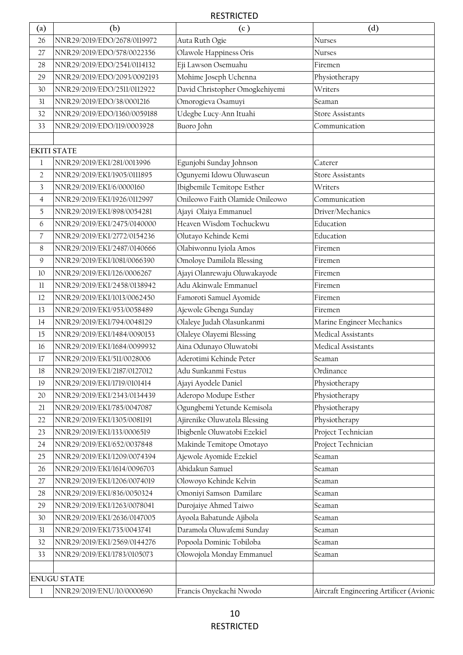| $\left( \text{a}\right)$ | (b)                         | (c)                             | (d)                                     |
|--------------------------|-----------------------------|---------------------------------|-----------------------------------------|
| 26                       | NNR29/2019/EDO/2678/0119972 | Auta Ruth Ogie                  | Nurses                                  |
| 27                       | NNR29/2019/EDO/578/0022356  | Olawole Happiness Oris          | Nurses                                  |
| 28                       | NNR29/2019/EDO/2541/0114132 | Eji Lawson Osemuahu             | Firemen                                 |
| 29                       | NNR29/2019/EDO/2093/0092193 | Mohime Joseph Uchenna           | Physiotherapy                           |
| 30                       | NNR29/2019/EDO/2511/0112922 | David Christopher Omogkehiyemi  | Writers                                 |
| 31                       | NNR29/2019/EDO/38/0001216   | Omorogieva Osamuyi              | Seaman                                  |
| 32                       | NNR29/2019/EDO/1360/0059188 | Udegbe Lucy-Ann Ituahi          | <b>Store Assistants</b>                 |
| 33                       | NNR29/2019/EDO/119/0003928  | Buoro John                      | Communication                           |
|                          |                             |                                 |                                         |
|                          | <b>EKITI STATE</b>          |                                 |                                         |
| 1                        | NNR29/2019/EKI/281/0013996  | Egunjobi Sunday Johnson         | Caterer                                 |
| $\overline{2}$           | NNR29/2019/EKI/1905/0111895 | Ogunyemi Idowu Oluwaseun        | <b>Store Assistants</b>                 |
| 3                        | NNR29/2019/EKI/6/0000160    | Ibigbemile Temitope Esther      | <b>Writers</b>                          |
| 4                        | NNR29/2019/EKI/1926/0112997 | Onileowo Faith Olamide Onileowo | Communication                           |
| 5                        | NNR29/2019/EKI/898/0054281  | Ajayi Olaiya Emmanuel           | Driver/Mechanics                        |
| 6                        | NNR29/2019/EKI/2475/0140000 | Heaven Wisdom Tochuckwu         | Education                               |
| 7                        | NNR29/2019/EKI/2772/0154236 | Olutayo Kehinde Kemi            | Education                               |
| 8                        | NNR29/2019/EKI/2487/0140666 | Olabiwonnu Iyiola Amos          | Firemen                                 |
| 9                        | NNR29/2019/EKI/1081/0066390 | Omoloye Damilola Blessing       | Firemen                                 |
| 10                       | NNR29/2019/EKI/126/0006267  | Ajayi Olanrewaju Oluwakayode    | Firemen                                 |
| 11                       | NNR29/2019/EKI/2458/0138942 | Adu Akinwale Emmanuel           | Firemen                                 |
| 12                       | NNR29/2019/EKI/1013/0062450 | Famoroti Samuel Ayomide         | Firemen                                 |
| 13                       | NNR29/2019/EKI/953/0058489  | Ajewole Gbenga Sunday           | Firemen                                 |
| 14                       | NNR29/2019/EKI/794/0048129  | Olaleye Judah Olasunkanmi       | Marine Engineer Mechanics               |
| 15                       | NNR29/2019/EKI/1484/0090153 | Olaleye Olayemi Blessing        | Medical Assistants                      |
| 16                       | NNR29/2019/EKI/1684/0099932 | Aina Odunayo Oluwatobi          | Medical Assistants                      |
| 17                       | NNR29/2019/EKI/511/0028006  | Aderotimi Kehinde Peter         | Seaman                                  |
| $18\,$                   | NNR29/2019/EKI/2187/0127012 | Adu Sunkanmi Festus             | Ordinance                               |
| 19                       | NNR29/2019/EKI/1719/0101414 | Ajayi Ayodele Daniel            | Physiotherapy                           |
| 20                       | NNR29/2019/EKI/2343/0134439 | Aderopo Modupe Esther           | Physiotherapy                           |
| 21                       | NNR29/2019/EKI/785/0047087  | Ogungbemi Yetunde Kemisola      | Physiotherapy                           |
| 22                       | NNR29/2019/EKI/1305/0081191 | Ajirenike Oluwatola Blessing    | Physiotherapy                           |
| 23                       | NNR29/2019/EKI/133/0006519  | Ibigbenle Oluwatobi Ezekiel     | Project Technician                      |
| 24                       | NNR29/2019/EKI/652/0037848  | Makinde Temitope Omotayo        | Project Technician                      |
| 25                       | NNR29/2019/EKI/1209/0074394 | Ajewole Ayomide Ezekiel         | Seaman                                  |
| 26                       | NNR29/2019/EKI/1614/0096703 | Abidakun Samuel                 | Seaman                                  |
| 27                       | NNR29/2019/EKI/1206/0074019 | Olowoyo Kehinde Kelvin          | Seaman                                  |
| 28                       | NNR29/2019/EKI/836/0050324  | Omoniyi Samson Damilare         | Seaman                                  |
| 29                       | NNR29/2019/EKI/1263/0078041 | Durojaiye Ahmed Taiwo           | Seaman                                  |
| 30                       | NNR29/2019/EKI/2636/0147005 | Ayoola Babatunde Ajibola        | Seaman                                  |
| 31                       | NNR29/2019/EKI/735/0043741  | Daramola Oluwafemi Sunday       | Seaman                                  |
| 32                       | NNR29/2019/EKI/2569/0144276 | Popoola Dominic Tobiloba        | Seaman                                  |
| 33                       | NNR29/2019/EKI/1783/0105073 | Olowojola Monday Emmanuel       | Seaman                                  |
|                          |                             |                                 |                                         |
|                          | <b>ENUGU STATE</b>          |                                 |                                         |
| 1                        | NNR29/2019/ENU/10/0000690   | Francis Onyekachi Nwodo         | Aircraft Engineering Artificer (Avionic |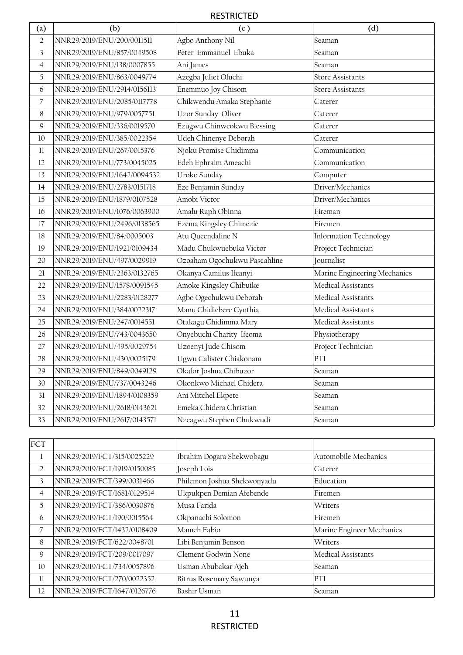| $\left( a\right)$       | (b)                         | (c)                          | (d)                          |
|-------------------------|-----------------------------|------------------------------|------------------------------|
| $\overline{2}$          | NNR29/2019/ENU/200/0011511  | Agbo Anthony Nil             | Seaman                       |
| $\overline{\mathbf{3}}$ | NNR29/2019/ENU/857/0049508  | Peter Emmanuel Ebuka         | Seaman                       |
| $\overline{4}$          | NNR29/2019/ENU/138/0007855  | Ani James                    | Seaman                       |
| 5                       | NNR29/2019/ENU/863/0049774  | Azegba Juliet Oluchi         | <b>Store Assistants</b>      |
| 6                       | NNR29/2019/ENU/2914/0156113 | Enemmuo Joy Chisom           | <b>Store Assistants</b>      |
| $\overline{7}$          | NNR29/2019/ENU/2085/0117778 | Chikwendu Amaka Stephanie    | Caterer                      |
| 8                       | NNR29/2019/ENU/979/0057751  | Uzor Sunday Oliver           | Caterer                      |
| $\mathsf{Q}$            | NNR29/2019/ENU/336/0019570  | Ezugwu Chinweokwu Blessing   | Caterer                      |
| 10                      | NNR29/2019/ENU/385/0022354  | Udeh Chinenye Deborah        | Caterer                      |
| 11                      | NNR29/2019/ENU/267/0015376  | Njoku Promise Chidimma       | Communication                |
| 12                      | NNR29/2019/ENU/773/0045025  | Edeh Ephraim Ameachi         | Communication                |
| 13                      | NNR29/2019/ENU/1642/0094532 | Uroko Sunday                 | Computer                     |
| 14                      | NNR29/2019/ENU/2783/0151718 | Eze Benjamin Sunday          | Driver/Mechanics             |
| 15                      | NNR29/2019/ENU/1879/0107528 | Amobi Victor                 | Driver/Mechanics             |
| 16                      | NNR29/2019/ENU/1076/0063900 | Amalu Raph Obinna            | Fireman                      |
| 17                      | NNR29/2019/ENU/2496/0138565 | Ezema Kingsley Chimezie      | Firemen                      |
| 18                      | NNR29/2019/ENU/84/0005003   | Atu Queendaline N            | Information Technology       |
| 19                      | NNR29/2019/ENU/1921/0109434 | Madu Chukwuebuka Victor      | Project Technician           |
| 20                      | NNR29/2019/ENU/497/0029919  | Ozoaham Ogochukwu Pascahline | Journalist                   |
| 21                      | NNR29/2019/ENU/2363/0132765 | Okanya Camilus Ifeanyi       | Marine Engineering Mechanics |
| 22                      | NNR29/2019/ENU/1578/0091545 | Amoke Kingsley Chibuike      | Medical Assistants           |
| 23                      | NNR29/2019/ENU/2283/0128277 | Agbo Ogechukwu Deborah       | Medical Assistants           |
| 24                      | NNR29/2019/ENU/384/0022317  | Manu Chidiebere Cynthia      | Medical Assistants           |
| 25                      | NNR29/2019/ENU/247/0014551  | Otakagu Chidimma Mary        | Medical Assistants           |
| 26                      | NNR29/2019/ENU/743/0043650  | Onyebuchi Charity Ifeoma     | Physiotherapy                |
| 27                      | NNR29/2019/ENU/495/0029754  | Uzoenyi Jude Chisom          | Project Technician           |
| 28                      | NNR29/2019/ENU/430/0025179  | Ugwu Calister Chiakonam      | PTI                          |
| 29                      | NNR29/2019/ENU/849/0049129  | Okafor Joshua Chibuzor       | Seaman                       |
| 30                      | NNR29/2019/ENU/737/0043246  | Okonkwo Michael Chidera      | Seaman                       |
| 31                      | NNR29/2019/ENU/1894/0108359 | Ani Mitchel Ekpete           | Seaman                       |
| 32                      | NNR29/2019/ENU/2618/0143621 | Emeka Chidera Christian      | Seaman                       |
| 33                      | NNR29/2019/ENU/2617/0143571 | Nzeagwu Stephen Chukwudi     | Seaman                       |

| FCT            |                             |                             |                           |
|----------------|-----------------------------|-----------------------------|---------------------------|
| 1              | NNR29/2019/FCT/315/0025229  | Ibrahim Dogara Shekwobagu   | Automobile Mechanics      |
| $\overline{2}$ | NNR29/2019/FCT/1919/0150085 | Joseph Lois                 | Caterer                   |
| 3              | NNR29/2019/FCT/399/0031466  | Philemon Joshua Shekwonyadu | Education                 |
| $\overline{4}$ | NNR29/2019/FCT/1681/0129514 | Ukpukpen Demian Afebende    | Firemen                   |
| 5              | NNR29/2019/FCT/386/0030876  | Musa Farida                 | Writers                   |
| 6              | NNR29/2019/FCT/190/0015564  | Okpanachi Solomon           | Firemen                   |
| 7              | NNR29/2019/FCT/1432/0108409 | Mameh Fabio                 | Marine Engineer Mechanics |
| 8              | NNR29/2019/FCT/622/0048701  | Libi Benjamin Benson        | Writers                   |
| 9              | NNR29/2019/FCT/209/0017097  | Clement Godwin None         | Medical Assistants        |
| 10             | NNR29/2019/FCT/734/0057896  | Usman Abubakar Ajeh         | Seaman                    |
| 11             | NNR29/2019/FCT/270/0022352  | Bitrus Rosemary Sawunya     | <b>PTI</b>                |
| 12             | NNR29/2019/FCT/1647/0126776 | Bashir Usman                | Seaman                    |
|                |                             |                             |                           |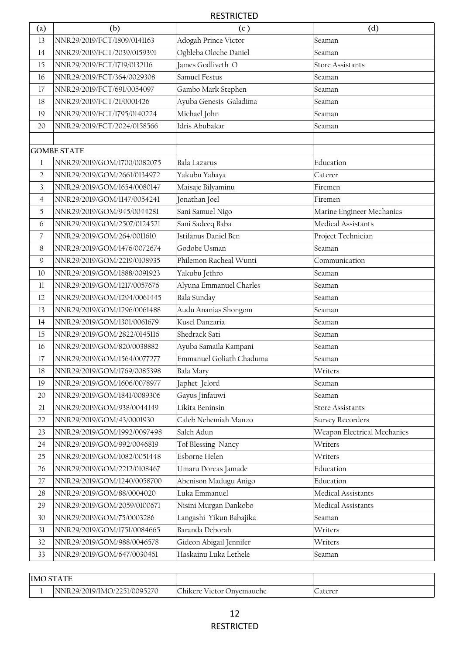| $\left( \text{a}\right)$ | (b)                         | (c)                      | (d)                         |
|--------------------------|-----------------------------|--------------------------|-----------------------------|
| 13                       | NNR29/2019/FCT/1809/0141163 | Adogah Prince Victor     | Seaman                      |
| 14                       | NNR29/2019/FCT/2039/0159391 | Ogbleba Oloche Daniel    | Seaman                      |
| 15                       | NNR29/2019/FCT/1719/0132116 | James Godliveth .O       | <b>Store Assistants</b>     |
| 16                       | NNR29/2019/FCT/364/0029308  | Samuel Festus            | Seaman                      |
| 17                       | NNR29/2019/FCT/691/0054097  | Gambo Mark Stephen       | Seaman                      |
| 18                       | NNR29/2019/FCT/21/0001426   | Ayuba Genesis Galadima   | Seaman                      |
| 19                       | NNR29/2019/FCT/1795/0140224 | Michael John             | Seaman                      |
| 20                       | NNR29/2019/FCT/2024/0158566 | Idris Abubakar           | Seaman                      |
|                          |                             |                          |                             |
|                          | <b>GOMBE STATE</b>          |                          |                             |
| 1                        | NNR29/2019/GOM/1700/0082075 | Bala Lazarus             | Education                   |
| $\overline{2}$           | NNR29/2019/GOM/2661/0134972 | Yakubu Yahaya            | Caterer                     |
| $\overline{\mathbf{3}}$  | NNR29/2019/GOM/1654/0080147 | Maisaje Bilyaminu        | Firemen                     |
| $\overline{4}$           | NNR29/2019/GOM/1147/0054241 | Jonathan Joel            | Firemen                     |
| 5                        | NNR29/2019/GOM/945/0044281  | Sani Samuel Nigo         | Marine Engineer Mechanics   |
| 6                        | NNR29/2019/GOM/2507/0124521 | Sani Sadeeq Baba         | Medical Assistants          |
| $\overline{7}$           | NNR29/2019/GOM/264/0011610  | Istifanus Daniel Ben     | Project Technician          |
| 8                        | NNR29/2019/GOM/1476/0072674 | Godobe Usman             | Seaman                      |
| 9                        | NNR29/2019/GOM/2219/0108935 | Philemon Racheal Wunti   | Communication               |
| 10                       | NNR29/2019/GOM/1888/0091923 | Yakubu Jethro            | Seaman                      |
| $11\,$                   | NNR29/2019/GOM/1217/0057676 | Alyuna Emmanuel Charles  | Seaman                      |
| 12                       | NNR29/2019/GOM/1294/0061445 | Bala Sunday              | Seaman                      |
| 13                       | NNR29/2019/GOM/1296/0061488 | Audu Ananias Shongom     | Seaman                      |
| 14                       | NNR29/2019/GOM/1301/0061679 | Kusel Danzaria           | Seaman                      |
| 15                       | NNR29/2019/GOM/2822/0145116 | Shedrack Sati            | Seaman                      |
| 16                       | NNR29/2019/GOM/820/0038882  | Ayuba Samaila Kampani    | Seaman                      |
| 17                       | NNR29/2019/GOM/1564/0077277 | Emmanuel Goliath Chaduma | Seaman                      |
| $18\,$                   | NNR29/2019/GOM/1769/0085398 | Bala Mary                | Writers                     |
| 19                       | NNR29/2019/GOM/1606/0078977 | Japhet Jelord            | Seaman                      |
| 20                       | NNR29/2019/GOM/1841/0089306 | Gayus Jinfauwi           | Seaman                      |
| 21                       | NNR29/2019/GOM/938/0044149  | Likita Beninsin          | <b>Store Assistants</b>     |
| 22                       | NNR29/2019/GOM/43/0001930   | Caleb Nehemiah Manzo     | <b>Survey Recorders</b>     |
| 23                       | NNR29/2019/GOM/1992/0097498 | Saleh Adun               | Weapon Electrical Mechanics |
| 24                       | NNR29/2019/GOM/992/0046819  | Tof Blessing Nancy       | Writers                     |
| 25                       | NNR29/2019/GOM/1082/0051448 | Esborne Helen            | Writers                     |
| 26                       | NNR29/2019/GOM/2212/0108467 | Umaru Dorcas Jamade      | Education                   |
| 27                       | NNR29/2019/GOM/1240/0058700 | Abenison Madugu Anigo    | Education                   |
| 28                       | NNR29/2019/GOM/88/0004020   | Luka Emmanuel            | Medical Assistants          |
| 29                       | NNR29/2019/GOM/2059/0100671 | Nisini Murgan Dankobo    | Medical Assistants          |
| 30                       | NNR29/2019/GOM/75/0003286   | Langashi Yikun Babajika  | Seaman                      |
| 31                       | NNR29/2019/GOM/1751/0084665 | Baranda Deborah          | Writers                     |
| 32                       | NNR29/2019/GOM/988/0046578  | Gideon Abigail Jennifer  | Writers                     |
| 33                       | NNR29/2019/GOM/647/0030461  | Haskainu Luka Lethele    | Seaman                      |

| <b>IMO STATE</b> |                             |                           |         |
|------------------|-----------------------------|---------------------------|---------|
|                  | NNR29/2019/IMO/2251/0095270 | Chikere Victor Onvemauche | Laterer |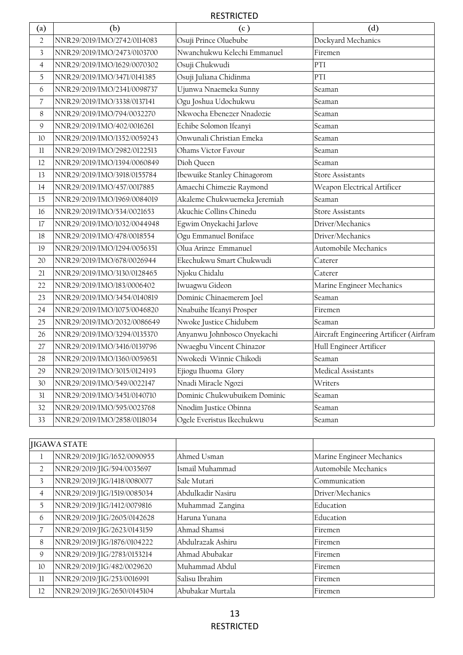| $\left( a\right)$        | (b)                         | (c)                          | (d)                                     |
|--------------------------|-----------------------------|------------------------------|-----------------------------------------|
| $\overline{2}$           | NNR29/2019/IMO/2742/0114083 | Osuji Prince Oluebube        | Dockyard Mechanics                      |
| $\overline{3}$           | NNR29/2019/IMO/2473/0103700 | Nwanchukwu Kelechi Emmanuel  | Firemen                                 |
| $\overline{4}$           | NNR29/2019/IMO/1629/0070302 | Osuji Chukwudi               | PTI                                     |
| 5                        | NNR29/2019/IMO/3471/0141385 | Osuji Juliana Chidinma       | PTI                                     |
| 6                        | NNR29/2019/IMO/2341/0098737 | Ujunwa Nnaemeka Sunny        | Seaman                                  |
| $\overline{\mathcal{C}}$ | NNR29/2019/IMO/3338/0137141 | Ogu Joshua Udochukwu         | Seaman                                  |
| $\,8$                    | NNR29/2019/IMO/794/0032270  | Nkwocha Ebenezer Nnadozie    | Seaman                                  |
| 9                        | NNR29/2019/IMO/402/0016261  | Echibe Solomon Ifeanyi       | Seaman                                  |
| 10                       | NNR29/2019/IMO/1352/0059243 | Onwunali Christian Emeka     | Seaman                                  |
| 11                       | NNR29/2019/IMO/2982/0122513 | Ohams Victor Favour          | Seaman                                  |
| 12                       | NNR29/2019/IMO/1394/0060849 | Dioh Queen                   | Seaman                                  |
| 13                       | NNR29/2019/IMO/3918/0155784 | Ibewuike Stanley Chinagorom  | <b>Store Assistants</b>                 |
| 14                       | NNR29/2019/IMO/457/0017885  | Amaechi Chimezie Raymond     | Weapon Electrical Artificer             |
| 15                       | NNR29/2019/IMO/1969/0084019 | Akaleme Chukwuemeka Jeremiah | Seaman                                  |
| 16                       | NNR29/2019/IMO/534/0021653  | Akuchie Collins Chinedu      | <b>Store Assistants</b>                 |
| 17                       | NNR29/2019/IMO/1032/0044948 | Egwim Onyekachi Jarlove      | Driver/Mechanics                        |
| 18                       | NNR29/2019/IMO/478/0018554  | Ogu Emmanuel Boniface        | Driver/Mechanics                        |
| 19                       | NNR29/2019/IMO/1294/0056351 | Olua Arinze Emmanuel         | Automobile Mechanics                    |
| 20                       | NNR29/2019/IMO/678/0026944  | Ekechukwu Smart Chukwudi     | Caterer                                 |
| 21                       | NNR29/2019/IMO/3130/0128465 | Njoku Chidalu                | Caterer                                 |
| 22                       | NNR29/2019/IMO/183/0006402  | Iwuagwu Gideon               | Marine Engineer Mechanics               |
| 23                       | NNR29/2019/IMO/3454/0140819 | Dominic Chinaemerem Joel     | Seaman                                  |
| 24                       | NNR29/2019/IMO/1075/0046820 | Nnabuihe Ifeanyi Prosper     | Firemen                                 |
| 25                       | NNR29/2019/IMO/2032/0086649 | Nwoke Justice Chidubem       | Seaman                                  |
| 26                       | NNR29/2019/IMO/3294/0135370 | Anyanwu Johnbosco Onyekachi  | Aircraft Engineering Artificer (Airfram |
| 27                       | NNR29/2019/IMO/3416/0139796 | Nwaegbu Vincent Chinazor     | Hull Engineer Artificer                 |
| 28                       | NNR29/2019/IMO/1360/0059651 | Nwokedi Winnie Chikodi       | Seaman                                  |
| 29                       | NNR29/2019/IMO/3015/0124193 | Ejiogu Ihuoma Glory          | Medical Assistants                      |
| 30                       | NNR29/2019/IMO/549/0022147  | Nnadi Miracle Ngozi          | Writers                                 |
| 31                       | NNR29/2019/IMO/3451/0140710 | Dominic Chukwubuikem Dominic | Seaman                                  |
| 32                       | NNR29/2019/IMO/595/0023768  | Nnodim Justice Obinna        | Seaman                                  |
| 33                       | NNR29/2019/IMO/2858/0118034 | Ogele Everistus Ikechukwu    | Seaman                                  |

|                | <b>JIGAWA STATE</b>         |                   |                           |
|----------------|-----------------------------|-------------------|---------------------------|
| 1              | NNR29/2019/JIG/1652/0090955 | Ahmed Usman       | Marine Engineer Mechanics |
| $\overline{2}$ | NNR29/2019/JIG/594/0035697  | Ismail Muhammad   | Automobile Mechanics      |
| 3              | NNR29/2019/JIG/1418/0080077 | Sale Mutari       | Communication             |
| $\overline{4}$ | NNR29/2019/JIG/1519/0085034 | Abdulkadir Nasiru | Driver/Mechanics          |
| 5              | NNR29/2019/JIG/1412/0079816 | Muhammad Zangina  | Education                 |
| 6              | NNR29/2019/JIG/2605/0142628 | Haruna Yunana     | Education                 |
| $\overline{7}$ | NNR29/2019/JIG/2623/0143159 | Ahmad Shamsi      | Firemen                   |
| 8              | NNR29/2019/JIG/1876/0104222 | Abdulrazak Ashiru | Firemen                   |
| 9              | NNR29/2019/JIG/2783/0153214 | Ahmad Abubakar    | Firemen                   |
| 10             | NNR29/2019/JIG/482/0029620  | Muhammad Abdul    | Firemen                   |
| 11             | NNR29/2019/JIG/253/0016991  | Salisu Ibrahim    | Firemen                   |
| 12             | NNR29/2019/JIG/2650/0145104 | Abubakar Murtala  | Firemen                   |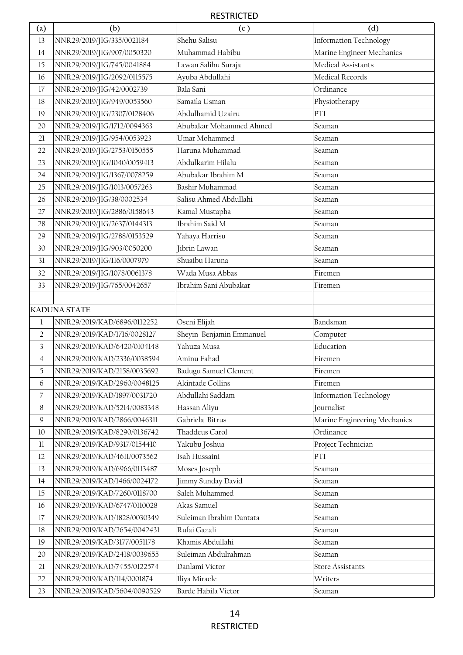| $\left( \text{a}\right)$ | (b)                                                        | (c)                             | (d)                                       |
|--------------------------|------------------------------------------------------------|---------------------------------|-------------------------------------------|
| 13                       | NNR29/2019/JIG/335/0021184                                 | Shehu Salisu                    | <b>Information Technology</b>             |
| 14                       | NNR29/2019/JIG/907/0050320                                 | Muhammad Habibu                 | Marine Engineer Mechanics                 |
| 15                       | NNR29/2019/JIG/745/0041884                                 | Lawan Salihu Suraja             | Medical Assistants                        |
| 16                       | NNR29/2019/JIG/2092/0115575                                | Ayuba Abdullahi                 | Medical Records                           |
| 17                       | NNR29/2019/JIG/42/0002739                                  | Bala Sani                       | Ordinance                                 |
| 18                       | NNR29/2019/JIG/949/0053560                                 | Samaila Usman                   | Physiotherapy                             |
| 19                       | NNR29/2019/JIG/2307/0128406                                | Abdulhamid Uzairu               | PTI                                       |
| 20                       | NNR29/2019/JIG/1712/0094363                                | Abubakar Mohammed Ahmed         | Seaman                                    |
| $21$                     | NNR29/2019/JIG/954/0053923                                 | Umar Mohammed                   | Seaman                                    |
| 22                       | NNR29/2019/JIG/2753/0150555                                | Haruna Muhammad                 | Seaman                                    |
| 23                       | NNR29/2019/JIG/1040/0059413                                | Abdulkarim Hilalu               | Seaman                                    |
| 24                       | NNR29/2019/JIG/1367/0078259                                | Abubakar Ibrahim M              | Seaman                                    |
| 25                       | NNR29/2019/JIG/1013/0057263                                | Bashir Muhammad                 | Seaman                                    |
| 26                       | NNR29/2019/JIG/38/0002534                                  | Salisu Ahmed Abdullahi          | Seaman                                    |
| 27                       | NNR29/2019/JIG/2886/0158643                                | Kamal Mustapha                  | Seaman                                    |
| 28                       | NNR29/2019/JIG/2637/0144313                                | Ibrahim Said M                  | Seaman                                    |
| 29                       | NNR29/2019/JIG/2788/0153529                                | Yahaya Harrisu                  | Seaman                                    |
| 30                       | NNR29/2019/JIG/903/0050200                                 | Jibrin Lawan                    | Seaman                                    |
| 31                       | NNR29/2019/JIG/116/0007979                                 | Shuaibu Haruna                  | Seaman                                    |
| 32                       | NNR29/2019/JIG/1078/0061378                                | Wada Musa Abbas                 | Firemen                                   |
| 33                       | NNR29/2019/JIG/765/0042657                                 | Ibrahim Sani Abubakar           | Firemen                                   |
|                          |                                                            |                                 |                                           |
|                          | <b>KADUNA STATE</b>                                        |                                 |                                           |
| 1                        | NNR29/2019/KAD/6896/0112252                                | Oseni Elijah                    | Bandsman                                  |
| $\overline{2}$           | NNR29/2019/KAD/1716/0028127                                | Sheyin Benjamin Emmanuel        | Computer                                  |
| 3                        | NNR29/2019/KAD/6420/0104148                                | Yahuza Musa                     | Education                                 |
| $\overline{4}$           | NNR29/2019/KAD/2336/0038594                                | Aminu Fahad                     | Firemen                                   |
| 5                        | NNR29/2019/KAD/2158/0035692                                | Badugu Samuel Clement           | Firemen                                   |
| 6                        | NNR29/2019/KAD/2960/0048125                                | Akintade Collins                | Firemen                                   |
| $\overline{\mathcal{L}}$ | NNR29/2019/KAD/1897/0031720                                | Abdullahi Saddam                | <b>Information Technology</b>             |
| $8\,$                    | NNR29/2019/KAD/5214/0083348                                | Hassan Aliyu<br>Gabriela Bitrus | Journalist                                |
| 9                        | NNR29/2019/KAD/2866/0046311                                | Thaddeus Carol                  | Marine Engineering Mechanics<br>Ordinance |
| 10<br>$11\,$             | NNR29/2019/KAD/8290/0136742<br>NNR29/2019/KAD/9317/0154410 | Yakubu Joshua                   | Project Technician                        |
| 12                       | NNR29/2019/KAD/4611/0073562                                | Isah Hussaini                   | PTI                                       |
| 13                       | NNR29/2019/KAD/6966/0113487                                | Moses Joseph                    | Seaman                                    |
| 14                       | NNR29/2019/KAD/1466/0024172                                | Jimmy Sunday David              | Seaman                                    |
| $15\,$                   | NNR29/2019/KAD/7260/0118700                                | Saleh Muhammed                  | Seaman                                    |
| 16                       | NNR29/2019/KAD/6747/0110028                                | Akas Samuel                     | Seaman                                    |
| 17                       | NNR29/2019/KAD/1828/0030349                                | Suleiman Ibrahim Dantata        | Seaman                                    |
| 18                       | NNR29/2019/KAD/2654/0042431                                | Rufai Gazali                    | Seaman                                    |
| $19$                     | NNR29/2019/KAD/3177/0051178                                | Khamis Abdullahi                | Seaman                                    |
| 20                       | NNR29/2019/KAD/2418/0039655                                | Suleiman Abdulrahman            | Seaman                                    |
| 21                       | NNR29/2019/KAD/7455/0122574                                | Danlami Victor                  | <b>Store Assistants</b>                   |
| 22                       | NNR29/2019/KAD/114/0001874                                 | Iliya Miracle                   | Writers                                   |
| 23                       | NNR29/2019/KAD/5604/0090529                                | Barde Habila Victor             | Seaman                                    |
|                          |                                                            |                                 |                                           |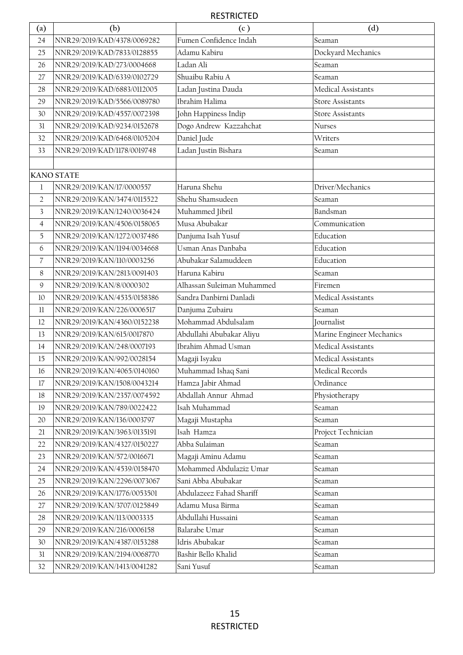| (a)                     | (b)                         | (c)                        | (d)                       |
|-------------------------|-----------------------------|----------------------------|---------------------------|
| 24                      | NNR29/2019/KAD/4378/0069282 | Fumen Confidence Indah     | Seaman                    |
| 25                      | NNR29/2019/KAD/7833/0128855 | Adamu Kabiru               | Dockyard Mechanics        |
| 26                      | NNR29/2019/KAD/273/0004668  | Ladan Ali                  | Seaman                    |
| 27                      | NNR29/2019/KAD/6339/0102729 | Shuaibu Rabiu A            | Seaman                    |
| 28                      | NNR29/2019/KAD/6883/0112005 | Ladan Justina Dauda        | Medical Assistants        |
| 29                      | NNR29/2019/KAD/5566/0089780 | Ibrahim Halima             | <b>Store Assistants</b>   |
| 30                      | NNR29/2019/KAD/4557/0072398 | John Happiness Indip       | <b>Store Assistants</b>   |
| 31                      | NNR29/2019/KAD/9234/0152678 | Dogo Andrew Kazzahchat     | Nurses                    |
| 32                      | NNR29/2019/KAD/6468/0105204 | Daniel Jude                | Writers                   |
| 33                      | NNR29/2019/KAD/1178/0019748 | Ladan Justin Bishara       | Seaman                    |
|                         |                             |                            |                           |
|                         | <b>KANO STATE</b>           |                            |                           |
| 1                       | NNR29/2019/KAN/17/0000557   | Haruna Shehu               | Driver/Mechanics          |
| $\overline{2}$          | NNR29/2019/KAN/3474/0115522 | Shehu Shamsudeen           | Seaman                    |
| $\overline{\mathbf{3}}$ | NNR29/2019/KAN/1240/0036424 | Muhammed Jibril            | Bandsman                  |
| $\overline{4}$          | NNR29/2019/KAN/4506/0158065 | Musa Abubakar              | Communication             |
| 5                       | NNR29/2019/KAN/1272/0037486 | Danjuma Isah Yusuf         | Education                 |
| 6                       | NNR29/2019/KAN/1194/0034668 | Usman Anas Danbaba         | Education                 |
| $\overline{7}$          | NNR29/2019/KAN/110/0003256  | Abubakar Salamuddeen       | Education                 |
| 8                       | NNR29/2019/KAN/2813/0091403 | Haruna Kabiru              | Seaman                    |
| $\mathsf{Q}$            | NNR29/2019/KAN/8/0000302    | Alhassan Suleiman Muhammed | Firemen                   |
| 10                      | NNR29/2019/KAN/4535/0158386 | Sandra Danbirni Danladi    | Medical Assistants        |
| 11                      | NNR29/2019/KAN/226/0006517  | Danjuma Zubairu            | Seaman                    |
| 12                      | NNR29/2019/KAN/4360/0152238 | Mohammad Abdulsalam        | Journalist                |
| 13                      | NNR29/2019/KAN/615/0017870  | Abdullahi Abubakar Aliyu   | Marine Engineer Mechanics |
| 14                      | NNR29/2019/KAN/248/0007193  | Ibrahim Ahmad Usman        | Medical Assistants        |
| 15                      | NNR29/2019/KAN/992/0028154  | Magaji Isyaku              | Medical Assistants        |
| 16                      | NNR29/2019/KAN/4065/0140160 | Muhammad Ishaq Sani        | Medical Records           |
| 17                      | NNR29/2019/KAN/1508/0043214 | Hamza Jabir Ahmad          | Ordinance                 |
| 18                      | NNR29/2019/KAN/2357/0074592 | Abdallah Annur Ahmad       | Physiotherapy             |
| 19                      | NNR29/2019/KAN/789/0022422  | Isah Muhammad              | Seaman                    |
| 20                      | NNR29/2019/KAN/136/0003797  | Magaji Mustapha            | Seaman                    |
| 21                      | NNR29/2019/KAN/3963/0135191 | Isah Hamza                 | Project Technician        |
| 22                      | NNR29/2019/KAN/4327/0150227 | Abba Sulaiman              | Seaman                    |
| 23                      | NNR29/2019/KAN/572/0016671  | Magaji Aminu Adamu         | Seaman                    |
| 24                      | NNR29/2019/KAN/4539/0158470 | Mohammed Abdulaziz Umar    | Seaman                    |
| 25                      | NNR29/2019/KAN/2296/0073067 | Sani Abba Abubakar         | Seaman                    |
| 26                      | NNR29/2019/KAN/1776/0053501 | Abdulazeez Fahad Shariff   | Seaman                    |
| 27                      | NNR29/2019/KAN/3707/0125849 | Adamu Musa Birma           | Seaman                    |
| 28                      | NNR29/2019/KAN/113/0003335  | Abdullahi Hussaini         | Seaman                    |
| 29                      | NNR29/2019/KAN/216/0006158  | Balarabe Umar              | Seaman                    |
| 30                      | NNR29/2019/KAN/4387/0153288 | Idris Abubakar             | Seaman                    |
| 31                      | NNR29/2019/KAN/2194/0068770 | Bashir Bello Khalid        | Seaman                    |
| 32                      | NNR29/2019/KAN/1413/0041282 | Sani Yusuf                 | Seaman                    |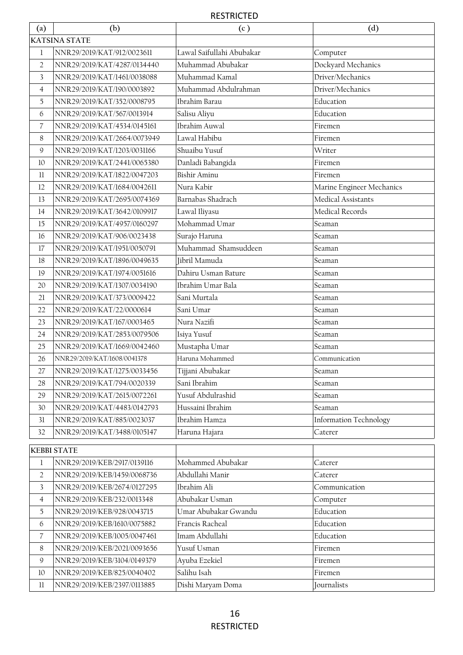| $\left( \text{a}\right)$ | (b)                         | (c)                       | (d)                           |  |  |
|--------------------------|-----------------------------|---------------------------|-------------------------------|--|--|
|                          | <b>KATSINA STATE</b>        |                           |                               |  |  |
| $\mathbf{1}$             | NNR29/2019/KAT/912/0023611  | Lawal Saifullahi Abubakar | Computer                      |  |  |
| $\overline{2}$           | NNR29/2019/KAT/4287/0134440 | Muhammad Abubakar         | Dockyard Mechanics            |  |  |
| $\overline{\mathbf{3}}$  | NNR29/2019/KAT/1461/0038088 | Muhammad Kamal            | Driver/Mechanics              |  |  |
| $\overline{4}$           | NNR29/2019/KAT/190/0003892  | Muhammad Abdulrahman      | Driver/Mechanics              |  |  |
| 5                        | NNR29/2019/KAT/352/0008795  | Ibrahim Barau             | Education                     |  |  |
| 6                        | NNR29/2019/KAT/567/0013914  | Salisu Aliyu              | Education                     |  |  |
| $\overline{7}$           | NNR29/2019/KAT/4534/0145161 | Ibrahim Auwal             | Firemen                       |  |  |
| 8                        | NNR29/2019/KAT/2664/0073949 | Lawal Habibu              | Firemen                       |  |  |
| $\mathsf g$              | NNR29/2019/KAT/1203/0031166 | Shuaibu Yusuf             | Writer                        |  |  |
| 10                       | NNR29/2019/KAT/2441/0065380 | Danladi Babangida         | Firemen                       |  |  |
| 11                       | NNR29/2019/KAT/1822/0047203 | <b>Bishir Aminu</b>       | Firemen                       |  |  |
| 12                       | NNR29/2019/KAT/1684/0042611 | Nura Kabir                | Marine Engineer Mechanics     |  |  |
| 13                       | NNR29/2019/KAT/2695/0074369 | Barnabas Shadrach         | Medical Assistants            |  |  |
| 14                       | NNR29/2019/KAT/3642/0109917 | Lawal Iliyasu             | Medical Records               |  |  |
| 15                       | NNR29/2019/KAT/4957/0160297 | Mohammad Umar             | Seaman                        |  |  |
| 16                       | NNR29/2019/KAT/906/0023438  | Surajo Haruna             | Seaman                        |  |  |
| 17                       | NNR29/2019/KAT/1951/0050791 | Muhammad Shamsuddeen      | Seaman                        |  |  |
| 18                       | NNR29/2019/KAT/1896/0049635 | Jibril Mamuda             | Seaman                        |  |  |
| 19                       | NNR29/2019/KAT/1974/0051616 | Dahiru Usman Bature       | Seaman                        |  |  |
| 20                       | NNR29/2019/KAT/1307/0034190 | Ibrahim Umar Bala         | Seaman                        |  |  |
| 21                       | NNR29/2019/KAT/373/0009422  | Sani Murtala              | Seaman                        |  |  |
| 22                       | NNR29/2019/KAT/22/0000614   | Sani Umar                 | Seaman                        |  |  |
| 23                       | NNR29/2019/KAT/167/0003465  | Nura Nazifi               | Seaman                        |  |  |
| 24                       | NNR29/2019/KAT/2853/0079506 | Isiya Yusuf               | Seaman                        |  |  |
| 25                       | NNR29/2019/KAT/1669/0042460 | Mustapha Umar             | Seaman                        |  |  |
| 26                       | NNR29/2019/KAT/1608/0041378 | Haruna Mohammed           | Communication                 |  |  |
| 27                       | NNR29/2019/KAT/1275/0033456 | Tijjani Abubakar          | Seaman                        |  |  |
| 28                       | NNR29/2019/KAT/794/0020339  | Sani Ibrahim              | Seaman                        |  |  |
| 29                       | NNR29/2019/KAT/2615/0072261 | Yusuf Abdulrashid         | Seaman                        |  |  |
| 30                       | NNR29/2019/KAT/4483/0142793 | Hussaini Ibrahim          | Seaman                        |  |  |
| 31                       | NNR29/2019/KAT/885/0023037  | Ibrahim Hamza             | <b>Information Technology</b> |  |  |
| 32                       | NNR29/2019/KAT/3488/0105147 | Haruna Hajara             | Caterer                       |  |  |
|                          | <b>KEBBI STATE</b>          |                           |                               |  |  |
| $\mathbf{1}$             | NNR29/2019/KEB/2917/0139116 | Mohammed Abubakar         | Caterer                       |  |  |
| $\overline{2}$           | NNR29/2019/KEB/1459/0068736 | Abdullahi Manir           | Caterer                       |  |  |
| $\overline{3}$           | NNR29/2019/KEB/2674/0127295 | Ibrahim Ali               | Communication                 |  |  |
| $\overline{4}$           | NNR29/2019/KEB/232/0013348  | Abubakar Usman            | Computer                      |  |  |
| 5                        | NNR29/2019/KEB/928/0043715  | Umar Abubakar Gwandu      | Education                     |  |  |
| 6                        | NNR29/2019/KEB/1610/0075882 | Francis Racheal           | Education                     |  |  |
| $\overline{7}$           | NNR29/2019/KEB/1005/0047461 | Imam Abdullahi            | Education                     |  |  |
| 8                        | NNR29/2019/KEB/2021/0093656 | Yusuf Usman               | Firemen                       |  |  |
| $\mathsf 9$              | NNR29/2019/KEB/3104/0149379 | Ayuba Ezekiel             | Firemen                       |  |  |
| 10                       | NNR29/2019/KEB/825/0040402  | Salihu Isah               | Firemen                       |  |  |
| 11                       | NNR29/2019/KEB/2397/0113885 | Dishi Maryam Doma         | Journalists                   |  |  |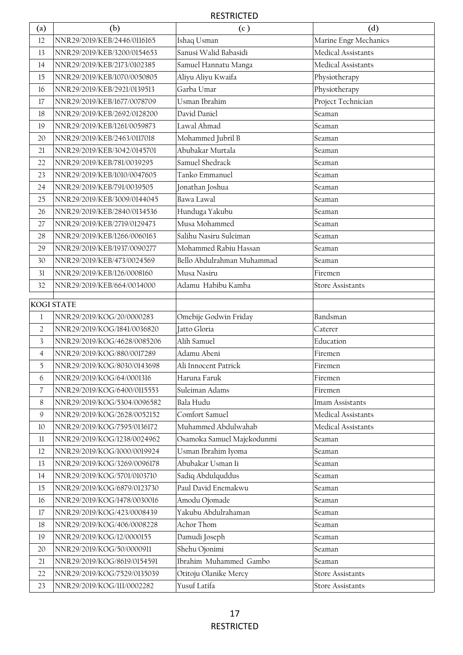| (a)                      | (b)                         | (c)                        | (d)                     |
|--------------------------|-----------------------------|----------------------------|-------------------------|
| 12                       | NNR29/2019/KEB/2446/0116165 | Ishaq Usman                | Marine Engr Mechanics   |
| 13                       | NNR29/2019/KEB/3200/0154653 | Sanusi Walid Babasidi      | Medical Assistants      |
| 14                       | NNR29/2019/KEB/2173/0102385 | Samuel Hannatu Manga       | Medical Assistants      |
| 15                       | NNR29/2019/KEB/1070/0050805 | Aliyu Aliyu Kwaifa         | Physiotherapy           |
| 16                       | NNR29/2019/KEB/2921/0139513 | Garba Umar                 | Physiotherapy           |
| 17                       | NNR29/2019/KEB/1677/0078709 | Usman Ibrahim              | Project Technician      |
| 18                       | NNR29/2019/KEB/2692/0128200 | David Daniel               | Seaman                  |
| 19                       | NNR29/2019/KEB/1261/0059873 | Lawal Ahmad                | Seaman                  |
| 20                       | NNR29/2019/KEB/2463/0117018 | Mohammed Jubril B          | Seaman                  |
| 21                       | NNR29/2019/KEB/3042/0145701 | Abubakar Murtala           | Seaman                  |
| 22                       | NNR29/2019/KEB/781/0039295  | Samuel Shedrack            | Seaman                  |
| 23                       | NNR29/2019/KEB/1010/0047605 | Tanko Emmanuel             | Seaman                  |
| 24                       | NNR29/2019/KEB/791/0039505  | Jonathan Joshua            | Seaman                  |
| 25                       | NNR29/2019/KEB/3009/0144045 | Bawa Lawal                 | Seaman                  |
| 26                       | NNR29/2019/KEB/2840/0134536 | Hunduga Yakubu             | Seaman                  |
| 27                       | NNR29/2019/KEB/2719/0129473 | Musa Mohammed              | Seaman                  |
| 28                       | NNR29/2019/KEB/1266/0060163 | Salihu Nasiru Suleiman     | Seaman                  |
| 29                       | NNR29/2019/KEB/1937/0090277 | Mohammed Rabiu Hassan      | Seaman                  |
| 30                       | NNR29/2019/KEB/473/0024569  | Bello Abdulrahman Muhammad | Seaman                  |
| 31                       | NNR29/2019/KEB/126/0008160  | Musa Nasiru                | Firemen                 |
| 32                       | NNR29/2019/KEB/664/0034000  | Adamu Habibu Kamba         | <b>Store Assistants</b> |
|                          | KOGI STATE                  |                            |                         |
| 1                        | NNR29/2019/KOG/20/0000283   | Omebije Godwin Friday      | Bandsman                |
| $\overline{2}$           | NNR29/2019/KOG/1841/0036820 | Jatto Gloria               | Caterer                 |
| 3                        | NNR29/2019/KOG/4628/0085206 | Alih Samuel                | Education               |
| 4                        | NNR29/2019/KOG/880/0017289  | Adamu Abeni                | Firemen                 |
| 5                        | NNR29/2019/KOG/8030/0143698 | Ali Innocent Patrick       | Firemen                 |
| 6                        | NNR29/2019/KOG/64/0001316   | Haruna Faruk               | Firemen                 |
| $\overline{\mathcal{L}}$ | NNR29/2019/KOG/6400/0115553 | Suleiman Adams             | Firemen                 |
| 8                        | NNR29/2019/KOG/5304/0096582 | Bala Hudu                  | Imam Assistants         |
| $\mathcal{G}$            | NNR29/2019/KOG/2628/0052152 | Comfort Samuel             | Medical Assistants      |
| 10                       | NNR29/2019/KOG/7595/0136172 | Muhammed Abdulwahab        | Medical Assistants      |
| $11\phantom{.0}$         | NNR29/2019/KOG/1238/0024962 | Osamoka Samuel Majekodunmi | Seaman                  |
| 12                       | NNR29/2019/KOG/1000/0019924 | Usman Ibrahim Iyoma        | Seaman                  |
| 13                       | NNR29/2019/KOG/3269/0096178 | Abubakar Usman Ii          | Seaman                  |
| 14                       | NNR29/2019/KOG/5701/0103710 | Sadiq Abdulquddus          | Seaman                  |
| 15                       | NNR29/2019/KOG/6879/0123730 | Paul David Enemakwu        | Seaman                  |
| 16                       | NNR29/2019/KOG/1478/0030016 | Amodu Ojomade              | Seaman                  |
| 17                       | NNR29/2019/KOG/423/0008439  | Yakubu Abdulrahaman        | Seaman                  |
| 18                       | NNR29/2019/KOG/406/0008228  | Achor Thom                 | Seaman                  |
| 19                       | NNR29/2019/KOG/12/0000155   | Damudi Joseph              | Seaman                  |
| 20                       | NNR29/2019/KOG/50/0000911   | Shehu Ojonimi              | Seaman                  |
| 21                       | NNR29/2019/KOG/8619/0154591 | Ibrahim Muhammed Gambo     | Seaman                  |
| 22                       | NNR29/2019/KOG/7529/0135039 | Otitoju Olanike Mercy      | <b>Store Assistants</b> |
| 23                       | NNR29/2019/KOG/111/0002282  | Yusuf Latifa               | <b>Store Assistants</b> |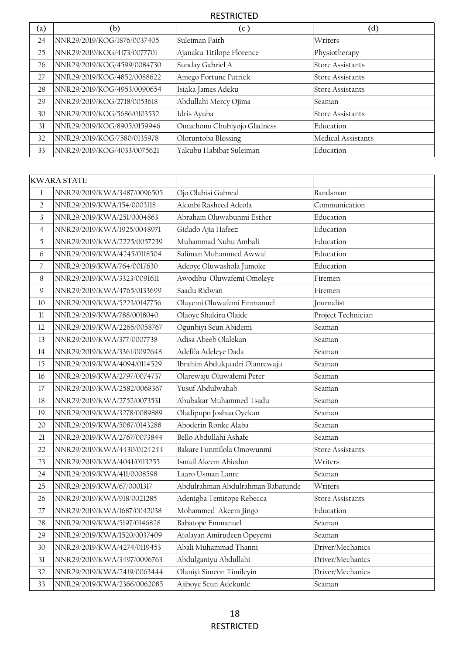| $\left( \text{a}\right)$ | (b)                         | (c )                        | $\rm ^{(d)}$            |
|--------------------------|-----------------------------|-----------------------------|-------------------------|
| 24                       | NNR29/2019/KOG/1876/0037405 | Suleiman Faith              | Writers                 |
| 25                       | NNR29/2019/KOG/4173/0077701 | Ajanaku Titilope Florence   | Physiotherapy           |
| 26                       | NNR29/2019/KOG/4599/0084730 | Sunday Gabriel A            | <b>Store Assistants</b> |
| 27                       | NNR29/2019/KOG/4852/0088622 | Amego Fortune Patrick       | Store Assistants        |
| 28                       | NNR29/2019/KOG/4953/0090654 | Isiaka James Adeku          | <b>Store Assistants</b> |
| 29                       | NNR29/2019/KOG/2718/0053618 | Abdullahi Mercy Ojima       | Seaman                  |
| 30                       | NNR29/2019/KOG/5686/0103532 | Idris Ayuba                 | <b>Store Assistants</b> |
| 31                       | NNR29/2019/KOG/8905/0159946 | Omachonu Chubiyojo Gladness | Education               |
| 32                       | NNR29/2019/KOG/7580/0135978 | Oloruntoba Blessing         | Medical Assistants      |
| 33                       | NNR29/2019/KOG/4033/0075621 | Yakubu Habibat Suleiman     | Education               |

|                | <b>KWARA STATE</b>          |                                   |                         |
|----------------|-----------------------------|-----------------------------------|-------------------------|
| $\mathbf 1$    | NNR29/2019/KWA/3487/0096505 | Ojo Olabisi Gabreal               | Bandsman                |
| $\overline{2}$ | NNR29/2019/KWA/154/0003118  | Akanbi Rasheed Adeola             | Communication           |
| 3              | NNR29/2019/KWA/251/0004863  | Abraham Oluwabunmi Esther         | Education               |
| $\overline{4}$ | NNR29/2019/KWA/1925/0048971 | Gidado Ajia Hafeez                | Education               |
| 5              | NNR29/2019/KWA/2225/0057239 | Muhammad Nuhu Ambali              | Education               |
| 6              | NNR29/2019/KWA/4245/0118504 | Saliman Muhammed Awwal            | Education               |
| 7              | NNR29/2019/KWA/764/0017630  | Adeoye Oluwashola Jumoke          | Education               |
| 8              | NNR29/2019/KWA/3323/0091611 | Awodibu Oluwafemi Omoleye         | Firemen                 |
| $\mathsf{Q}$   | NNR29/2019/KWA/4765/0133699 | Saadu Ridwan                      | Firemen                 |
| 10             | NNR29/2019/KWA/5223/0147756 | Olayemi Oluwafemi Emmanuel        | Journalist              |
| 11             | NNR29/2019/KWA/788/0018040  | Olaoye Shakiru Olaide             | Project Technician      |
| 12             | NNR29/2019/KWA/2266/0058767 | Ogunbiyi Seun Abidemi             | Seaman                  |
| 13             | NNR29/2019/KWA/377/0007738  | Adisa Abeeb Olalekan              | Seaman                  |
| 14             | NNR29/2019/KWA/3361/0092648 | Adefila Adeleye Dada              | Seaman                  |
| 15             | NNR29/2019/KWA/4094/0114529 | Ibrahim Abdulquadri Olanrewaju    | Seaman                  |
| 16             | NNR29/2019/KWA/2797/0074737 | Olarewaju Oluwafemi Peter         | Seaman                  |
| 17             | NNR29/2019/KWA/2582/0068367 | Yusuf Abdulwahab                  | Seaman                  |
| 18             | NNR29/2019/KWA/2752/0073531 | Abubakar Muhammed Tsadu           | Seaman                  |
| 19             | NNR29/2019/KWA/3278/0089889 | Oladipupo Joshua Oyekan           | Seaman                  |
| 20             | NNR29/2019/KWA/5087/0143288 | Aboderin Ronke Alaba              | Seaman                  |
| 21             | NNR29/2019/KWA/2767/0073844 | Bello Abdullahi Ashafe            | Seaman                  |
| 22             | NNR29/2019/KWA/4430/0124244 | Bakare Funmilola Omowunmi         | <b>Store Assistants</b> |
| 23             | NNR29/2019/KWA/4041/0113255 | Ismail Akeem Abiodun              | Writers                 |
| 24             | NNR29/2019/KWA/411/0008598  | Laaro Usman Lanre                 | Seaman                  |
| 25             | NNR29/2019/KWA/67/0001317   | Abdulrahman Abdulrahman Babatunde | Writers                 |
| 26             | NNR29/2019/KWA/918/0021285  | Adenigba Temitope Rebecca         | <b>Store Assistants</b> |
| 27             | NNR29/2019/KWA/1687/0042038 | Mohammed Akeem Jingo              | Education               |
| 28             | NNR29/2019/KWA/5197/0146828 | Babatope Emmanuel                 | Seaman                  |
| 29             | NNR29/2019/KWA/1520/0037409 | Afolayan Amirudeen Opeyemi        | Seaman                  |
| 30             | NNR29/2019/KWA/4274/0119453 | Abali Muhammad Thanni             | Driver/Mechanics        |
| 31             | NNR29/2019/KWA/3497/0096763 | Abdulganiyu Abdullahi             | Driver/Mechanics        |
| 32             | NNR29/2019/KWA/2419/0063444 | Olaniyi Simeon Timileyin          | Driver/Mechanics        |
| 33             | NNR29/2019/KWA/2366/0062085 | Ajiboye Seun Adekunle             | Seaman                  |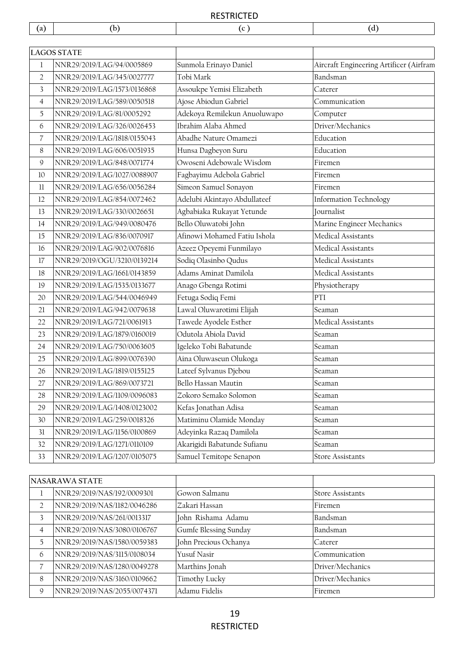|                          | <b>LAGOS STATE</b>          |                              |                                         |
|--------------------------|-----------------------------|------------------------------|-----------------------------------------|
| $\mathbf{1}$             | NNR29/2019/LAG/94/0005869   | Sunmola Erinayo Daniel       | Aircraft Engineering Artificer (Airfram |
| $\overline{2}$           | NNR29/2019/LAG/345/0027777  | Tobi Mark                    | Bandsman                                |
| $\overline{\mathbf{3}}$  | NNR29/2019/LAG/1573/0136868 | Assoukpe Yemisi Elizabeth    | Caterer                                 |
| $\overline{4}$           | NNR29/2019/LAG/589/0050518  | Ajose Abiodun Gabriel        | Communication                           |
| 5                        | NNR29/2019/LAG/81/0005292   | Adekoya Remilekun Anuoluwapo | Computer                                |
| 6                        | NNR29/2019/LAG/326/0026453  | Ibrahim Alaba Ahmed          | Driver/Mechanics                        |
| $\overline{\mathcal{L}}$ | NNR29/2019/LAG/1818/0155043 | Abadhe Nature Omamezi        | Education                               |
| 8                        | NNR29/2019/LAG/606/0051935  | Hunsa Dagbeyon Suru          | Education                               |
| 9                        | NNR29/2019/LAG/848/0071774  | Owoseni Adebowale Wisdom     | Firemen                                 |
| 10                       | NNR29/2019/LAG/1027/0088907 | Fagbayimu Adebola Gabriel    | Firemen                                 |
| 11                       | NNR29/2019/LAG/656/0056284  | Simeon Samuel Sonayon        | Firemen                                 |
| 12                       | NNR29/2019/LAG/854/0072462  | Adelubi Akintayo Abdullateef | <b>Information Technology</b>           |
| 13                       | NNR29/2019/LAG/330/0026651  | Agbabiaka Rukayat Yetunde    | Journalist                              |
| 14                       | NNR29/2019/LAG/949/0080476  | Bello Oluwatobi John         | Marine Engineer Mechanics               |
| 15                       | NNR29/2019/LAG/836/0070917  | Afinowi Mohamed Fatiu Ishola | Medical Assistants                      |
| 16                       | NNR29/2019/LAG/902/0076816  | Azeez Opeyemi Funmilayo      | Medical Assistants                      |
| 17                       | NNR29/2019/OGU/3210/0139214 | Sodiq Olasinbo Qudus         | Medical Assistants                      |
| 18                       | NNR29/2019/LAG/1661/0143859 | Adams Aminat Damilola        | Medical Assistants                      |
| 19                       | NNR29/2019/LAG/1535/0133677 | Anago Gbenga Rotimi          | Physiotherapy                           |
| 20                       | NNR29/2019/LAG/544/0046949  | Fetuga Sodiq Femi            | PTI                                     |
| 21                       | NNR29/2019/LAG/942/0079638  | Lawal Oluwarotimi Elijah     | Seaman                                  |
| 22                       | NNR29/2019/LAG/721/0061913  | Tawede Ayodele Esther        | Medical Assistants                      |
| 23                       | NNR29/2019/LAG/1879/0160019 | Odutola Abiola David         | Seaman                                  |
| 24                       | NNR29/2019/LAG/750/0063605  | Igeleko Tobi Babatunde       | Seaman                                  |
| 25                       | NNR29/2019/LAG/899/0076390  | Aina Oluwaseun Olukoga       | Seaman                                  |
| 26                       | NNR29/2019/LAG/1819/0155125 | Lateef Sylvanus Djebou       | Seaman                                  |
| 27                       | NNR29/2019/LAG/869/0073721  | Bello Hassan Mautin          | Seaman                                  |
| 28                       | NNR29/2019/LAG/1109/0096083 | Zokoro Semako Solomon        | Seaman                                  |
| 29                       | NNR29/2019/LAG/1408/0123002 | Kefas Jonathan Adisa         | Seaman                                  |
| 30                       | NNR29/2019/LAG/259/0018326  | Matiminu Olamide Monday      | Seaman                                  |
| 31                       | NNR29/2019/LAG/1156/0100869 | Adeyinka Razaq Damilola      | Seaman                                  |
| 32                       | NNR29/2019/LAG/1271/0110109 | Akarigidi Babatunde Sufianu  | Seaman                                  |
| 33                       | NNR29/2019/LAG/1207/0105075 | Samuel Temitope Senapon      | Store Assistants                        |

| NASARAWA STATE |                             |                       |                         |
|----------------|-----------------------------|-----------------------|-------------------------|
|                | NNR29/2019/NAS/192/0009301  | Gowon Salmanu         | <b>Store Assistants</b> |
| $\mathfrak{D}$ | NNR29/2019/NAS/1182/0046286 | Zakari Hassan         | Firemen                 |
| 3              | NNR29/2019/NAS/261/0013317  | John Rishama Adamu    | Bandsman                |
| $\overline{4}$ | NNR29/2019/NAS/3080/0106767 | Gumfe Blessing Sunday | Bandsman                |
| 5              | NNR29/2019/NAS/1580/0059383 | John Precious Ochanya | Caterer                 |
| 6              | NNR29/2019/NAS/3115/0108034 | Yusuf Nasir           | Communication           |
|                | NNR29/2019/NAS/1280/0049278 | Marthins Jonah        | Driver/Mechanics        |
| 8              | NNR29/2019/NAS/3160/0109662 | Timothy Lucky         | Driver/Mechanics        |
| 9              | NNR29/2019/NAS/2055/0074371 | Adamu Fidelis         | Firemen                 |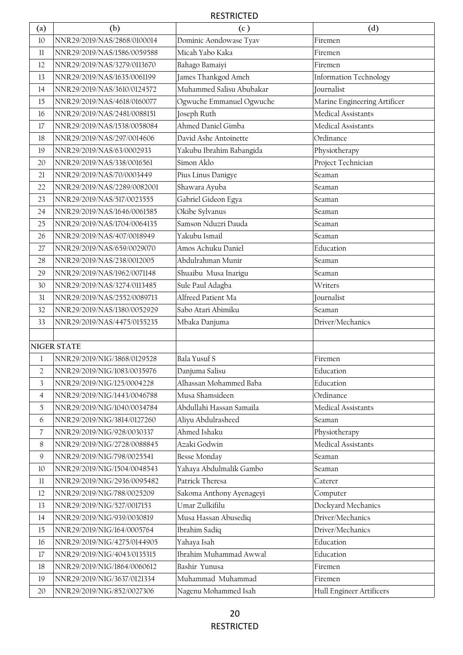| $\left( \text{a}\right)$ | (b)                         | (c)                      | (d)                           |
|--------------------------|-----------------------------|--------------------------|-------------------------------|
| 10                       | NNR29/2019/NAS/2868/0100014 | Dominic Aondowase Tyav   | Firemen                       |
| $11\,$                   | NNR29/2019/NAS/1586/0059588 | Micah Yabo Kaka          | Firemen                       |
| 12                       | NNR29/2019/NAS/3279/0113670 | Bahago Bamaiyi           | Firemen                       |
| 13                       | NNR29/2019/NAS/1635/0061199 | James Thankgod Ameh      | <b>Information Technology</b> |
| 14                       | NNR29/2019/NAS/3610/0124572 | Muhammed Salisu Abubakar | Journalist                    |
| 15                       | NNR29/2019/NAS/4618/0160077 | Ogwuche Emmanuel Ogwuche | Marine Engineering Artificer  |
| 16                       | NNR29/2019/NAS/2481/0088151 | Joseph Ruth              | Medical Assistants            |
| 17                       | NNR29/2019/NAS/1538/0058084 | Ahmed Daniel Gimba       | Medical Assistants            |
| 18                       | NNR29/2019/NAS/297/0014606  | David Ashe Antoinette    | Ordinance                     |
| 19                       | NNR29/2019/NAS/63/0002933   | Yakubu Ibrahim Babangida | Physiotherapy                 |
| 20                       | NNR29/2019/NAS/338/0016561  | Simon Aklo               | Project Technician            |
| 21                       | NNR29/2019/NAS/70/0003449   | Pius Linus Danigye       | Seaman                        |
| 22                       | NNR29/2019/NAS/2289/0082001 | Shawara Ayuba            | Seaman                        |
| 23                       | NNR29/2019/NAS/517/0023555  | Gabriel Gideon Egya      | Seaman                        |
| 24                       | NNR29/2019/NAS/1646/0061585 | Okibe Sylvanus           | Seaman                        |
| 25                       | NNR29/2019/NAS/1704/0064135 | Samson Nduzri Dauda      | Seaman                        |
| 26                       | NNR29/2019/NAS/407/0018949  | Yakubu Ismail            | Seaman                        |
| 27                       | NNR29/2019/NAS/659/0029070  | Amos Achuku Daniel       | Education                     |
| 28                       | NNR29/2019/NAS/238/0012005  | Abdulrahman Munir        | Seaman                        |
| 29                       | NNR29/2019/NAS/1962/0071148 | Shuaibu Musa Inarigu     | Seaman                        |
| 30                       | NNR29/2019/NAS/3274/0113485 | Sule Paul Adagba         | Writers                       |
| 31                       | NNR29/2019/NAS/2552/0089713 | Alfreed Patient Ma       | Journalist                    |
| 32                       | NNR29/2019/NAS/1380/0052929 | Sabo Atari Abimiku       | Seaman                        |
| 33                       | NNR29/2019/NAS/4475/0155235 | Mbaka Danjuma            | Driver/Mechanics              |
|                          | <b>NIGER STATE</b>          |                          |                               |
| 1                        | NNR29/2019/NIG/3868/0129528 | Bala Yusuf S             | Firemen                       |
| $\overline{2}$           | NNR29/2019/NIG/1083/0035976 | Danjuma Salisu           | Education                     |
| 3                        | NNR29/2019/NIG/125/0004228  | Alhassan Mohammed Baba   | Education                     |
| $\overline{4}$           | NNR29/2019/NIG/1443/0046788 | Musa Shamsideen          | Ordinance                     |
| 5                        | NNR29/2019/NIG/1040/0034784 | Abdullahi Hassan Samaila | Medical Assistants            |
| $\boldsymbol{6}$         | NNR29/2019/NIG/3814/0127260 | Aliyu Abdulrasheed       | Seaman                        |
| $\overline{\mathcal{L}}$ | NNR29/2019/NIG/928/0030337  | Ahmed Ishaku             | Physiotherapy                 |
| 8                        | NNR29/2019/NIG/2728/0088845 | Azaki Godwin             | Medical Assistants            |
| 9                        | NNR29/2019/NIG/798/0025541  | Besse Monday             | Seaman                        |
| 10                       | NNR29/2019/NIG/1504/0048543 | Yahaya Abdulmalik Gambo  | Seaman                        |
| $11\,$                   | NNR29/2019/NIG/2936/0095482 | Patrick Theresa          | Caterer                       |
| 12                       | NNR29/2019/NIG/788/0025209  | Sakoma Anthony Ayenageyi | Computer                      |
| 13                       | NNR29/2019/NIG/527/0017153  | Umar Zulkifilu           | Dockyard Mechanics            |
| 14                       | NNR29/2019/NIG/939/0030819  | Musa Hassan Abusediq     | Driver/Mechanics              |
| 15                       | NNR29/2019/NIG/164/0005764  | Ibrahim Sadiq            | Driver/Mechanics              |
| 16                       | NNR29/2019/NIG/4275/0144905 | Yahaya Isah              | Education                     |
| 17                       | NNR29/2019/NIG/4043/0135315 | Ibrahim Muhammad Awwal   | Education                     |
| 18                       | NNR29/2019/NIG/1864/0060612 | Bashir Yunusa            | Firemen                       |
| 19                       | NNR29/2019/NIG/3637/0121334 | Muhammad Muhammad        | Firemen                       |
| 20                       | NNR29/2019/NIG/852/0027306  | Nagenu Mohammed Isah     | Hull Engineer Artificers      |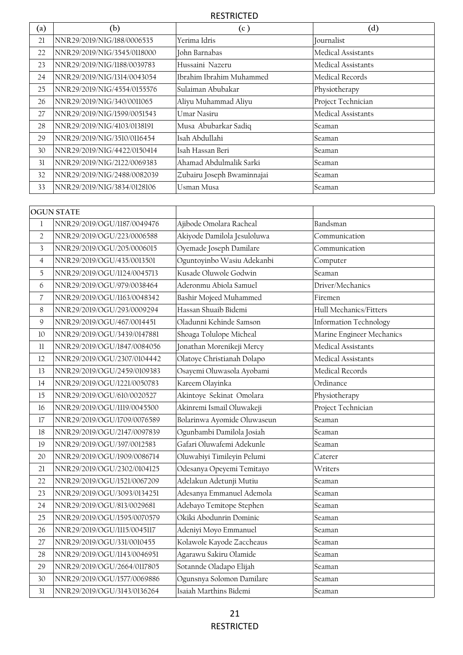| (a) | (b)                         | (c)                        | (d)                |
|-----|-----------------------------|----------------------------|--------------------|
| 21  | NNR29/2019/NIG/188/0006535  | Yerima Idris               | Journalist         |
| 22  | NNR29/2019/NIG/3545/0118000 | John Barnabas              | Medical Assistants |
| 23  | NNR29/2019/NIG/1188/0039783 | Hussaini Nazeru            | Medical Assistants |
| 24  | NNR29/2019/NIG/1314/0043054 | Ibrahim Ibrahim Muhammed   | Medical Records    |
| 25  | NNR29/2019/NIG/4554/0155576 | Sulaiman Abubakar          | Physiotherapy      |
| 26  | NNR29/2019/NIG/340/0011065  | Aliyu Muhammad Aliyu       | Project Technician |
| 27  | NNR29/2019/NIG/1599/0051543 | Umar Nasiru                | Medical Assistants |
| 28  | NNR29/2019/NIG/4103/0138191 | Musa Abubarkar Sadiq       | Seaman             |
| 29  | NNR29/2019/NIG/3510/0116454 | Isah Abdullahi             | Seaman             |
| 30  | NNR29/2019/NIG/4422/0150414 | Isah Hassan Beri           | Seaman             |
| 31  | NNR29/2019/NIG/2122/0069383 | Ahamad Abdulmalik Sarki    | Seaman             |
| 32  | NNR29/2019/NIG/2488/0082039 | Zubairu Joseph Bwaminnajai | Seaman             |
| 33  | NNR29/2019/NIG/3834/0128106 | Usman Musa                 | Seaman             |

|                          | <b>OGUN STATE</b>           |                             |                               |
|--------------------------|-----------------------------|-----------------------------|-------------------------------|
| $\mathbf{1}$             | NNR29/2019/OGU/1187/0049476 | Ajibode Omolara Racheal     | Bandsman                      |
| $\overline{2}$           | NNR29/2019/OGU/223/0006588  | Akiyode Damilola Jesuloluwa | Communication                 |
| $\overline{\mathbf{3}}$  | NNR29/2019/OGU/205/0006015  | Oyemade Joseph Damilare     | Communication                 |
| $\overline{4}$           | NNR29/2019/OGU/435/0013501  | Oguntoyinbo Wasiu Adekanbi  | Computer                      |
| 5                        | NNR29/2019/OGU/1124/0045713 | Kusade Oluwole Godwin       | Seaman                        |
| 6                        | NNR29/2019/OGU/979/0038464  | Aderonmu Abiola Samuel      | Driver/Mechanics              |
| $\overline{\mathcal{C}}$ | NNR29/2019/OGU/1163/0048342 | Bashir Mojeed Muhammed      | Firemen                       |
| $\,8$                    | NNR29/2019/OGU/293/0009294  | Hassan Shuaib Bidemi        | Hull Mechanics/Fitters        |
| $\mathsf{Q}$             | NNR29/2019/OGU/467/0014451  | Oladunni Kehinde Samson     | <b>Information Technology</b> |
| 10                       | NNR29/2019/OGU/3439/0147881 | Shoaga Tolulope Micheal     | Marine Engineer Mechanics     |
| 11                       | NNR29/2019/OGU/1847/0084056 | Jonathan Morenikeji Mercy   | Medical Assistants            |
| 12                       | NNR29/2019/OGU/2307/0104442 | Olatoye Christianah Dolapo  | Medical Assistants            |
| 13                       | NNR29/2019/OGU/2459/0109383 | Osayemi Oluwasola Ayobami   | Medical Records               |
| 14                       | NNR29/2019/OGU/1221/0050783 | Kareem Olayinka             | Ordinance                     |
| 15                       | NNR29/2019/OGU/610/0020527  | Akintoye Sekinat Omolara    | Physiotherapy                 |
| 16                       | NNR29/2019/OGU/1119/0045500 | Akinremi Ismail Oluwakeji   | Project Technician            |
| 17                       | NNR29/2019/OGU/1709/0076589 | Bolarinwa Ayomide Oluwaseun | Seaman                        |
| 18                       | NNR29/2019/OGU/2147/0097839 | Ogunbambi Damilola Josiah   | Seaman                        |
| 19                       | NNR29/2019/OGU/397/0012583  | Gafari Oluwafemi Adekunle   | Seaman                        |
| 20                       | NNR29/2019/OGU/1909/0086714 | Oluwabiyi Timileyin Pelumi  | Caterer                       |
| 21                       | NNR29/2019/OGU/2302/0104125 | Odesanya Opeyemi Temitayo   | Writers                       |
| 22                       | NNR29/2019/OGU/1521/0067209 | Adelakun Adetunji Mutiu     | Seaman                        |
| 23                       | NNR29/2019/OGU/3093/0134251 | Adesanya Emmanuel Ademola   | Seaman                        |
| 24                       | NNR29/2019/OGU/813/0029681  | Adebayo Temitope Stephen    | Seaman                        |
| 25                       | NNR29/2019/OGU/1595/0070579 | Okiki Abodunrin Dominic     | Seaman                        |
| 26                       | NNR29/2019/OGU/1115/0045117 | Adeniyi Moyo Emmanuel       | Seaman                        |
| 27                       | NNR29/2019/OGU/331/0010455  | Kolawole Kayode Zaccheaus   | Seaman                        |
| 28                       | NNR29/2019/OGU/1143/0046951 | Agarawu Sakiru Olamide      | Seaman                        |
| 29                       | NNR29/2019/OGU/2664/0117805 | Sotannde Oladapo Elijah     | Seaman                        |
| 30                       | NNR29/2019/OGU/1577/0069886 | Ogunsnya Solomon Damilare   | Seaman                        |
| 31                       | NNR29/2019/OGU/3143/0136264 | Isaiah Marthins Bidemi      | Seaman                        |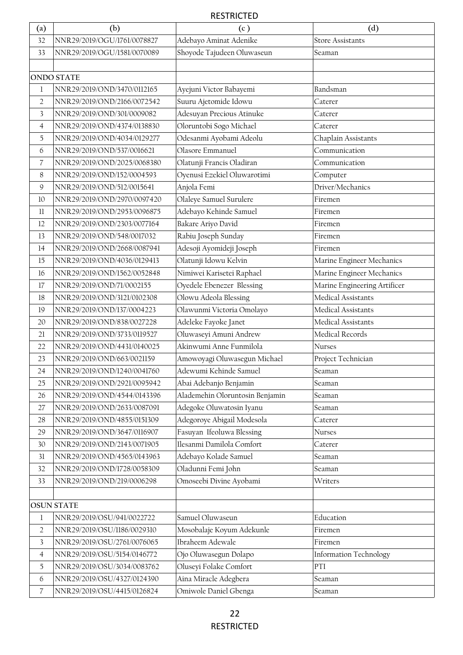| (a)            | (b)                         | (c)                             | (d)                           |
|----------------|-----------------------------|---------------------------------|-------------------------------|
| 32             | NNR29/2019/OGU/1761/0078827 | Adebayo Aminat Adenike          | <b>Store Assistants</b>       |
| 33             | NNR29/2019/OGU/1581/0070089 | Shoyode Tajudeen Oluwaseun      | Seaman                        |
|                |                             |                                 |                               |
|                | <b>ONDO STATE</b>           |                                 |                               |
| 1              | NNR29/2019/OND/3470/0112165 | Ayejuni Victor Babayemi         | Bandsman                      |
| $\overline{2}$ | NNR29/2019/OND/2166/0072542 | Suuru Ajetomide Idowu           | Caterer                       |
| 3              | NNR29/2019/OND/301/0009082  | Adesuyan Precious Atinuke       | Caterer                       |
| $\overline{4}$ | NNR29/2019/OND/4374/0138830 | Oloruntobi Sogo Michael         | Caterer                       |
| 5              | NNR29/2019/OND/4034/0129277 | Odesanmi Ayobami Adeolu         | Chaplain Assistants           |
| 6              | NNR29/2019/OND/537/0016621  | Olasore Emmanuel                | Communication                 |
| $\overline{7}$ | NNR29/2019/OND/2025/0068380 | Olatunji Francis Oladiran       | Communication                 |
| 8              | NNR29/2019/OND/152/0004593  | Oyenusi Ezekiel Oluwarotimi     | Computer                      |
| 9              | NNR29/2019/OND/512/0015641  | Anjola Femi                     | Driver/Mechanics              |
| 10             | NNR29/2019/OND/2970/0097420 | Olaleye Samuel Surulere         | Firemen                       |
| $11\,$         | NNR29/2019/OND/2953/0096875 | Adebayo Kehinde Samuel          | Firemen                       |
| 12             | NNR29/2019/OND/2303/0077164 | Bakare Ariyo David              | Firemen                       |
| 13             | NNR29/2019/OND/548/0017032  | Rabiu Joseph Sunday             | Firemen                       |
| 14             | NNR29/2019/OND/2668/0087941 | Adesoji Ayomideji Joseph        | Firemen                       |
| 15             | NNR29/2019/OND/4036/0129413 | Olatunji Idowu Kelvin           | Marine Engineer Mechanics     |
| 16             | NNR29/2019/OND/1562/0052848 | Nimiwei Karisetei Raphael       | Marine Engineer Mechanics     |
| 17             | NNR29/2019/OND/71/0002155   | Oyedele Ebenezer Blessing       | Marine Engineering Artificer  |
| 18             | NNR29/2019/OND/3121/0102308 | Olowu Adeola Blessing           | Medical Assistants            |
| 19             | NNR29/2019/OND/137/0004223  | Olawunmi Victoria Omolayo       | Medical Assistants            |
| 20             | NNR29/2019/OND/838/0027228  | Adeleke Fayoke Janet            | Medical Assistants            |
| 21             | NNR29/2019/OND/3733/0119527 | Oluwaseyi Amuni Andrew          | Medical Records               |
| 22             | NNR29/2019/OND/4431/0140025 | Akinwumi Anne Funmilola         | Nurses                        |
| 23             | NNR29/2019/OND/663/0021159  | Amowoyagi Oluwasegun Michael    | Project Technician            |
| 24             | NNR29/2019/OND/1240/0041760 | Adewumi Kehinde Samuel          | Seaman                        |
| 25             | NNR29/2019/OND/2921/0095942 | Abai Adebanjo Benjamin          | Seaman                        |
| 26             | NNR29/2019/OND/4544/0143396 | Alademehin Oloruntosin Benjamin | Seaman                        |
| 27             | NNR29/2019/OND/2633/0087091 | Adegoke Oluwatosin Iyanu        | Seaman                        |
| 28             | NNR29/2019/OND/4855/0151309 | Adegoroye Abigail Modesola      | Caterer                       |
| 29             | NNR29/2019/OND/3647/0116907 | Fasuyan Ifeoluwa Blessing       | Nurses                        |
| 30             | NNR29/2019/OND/2143/0071905 | Ilesanmi Damilola Comfort       | Caterer                       |
| 31             | NNR29/2019/OND/4565/0143963 | Adebayo Kolade Samuel           | Seaman                        |
| 32             | NNR29/2019/OND/1728/0058309 | Oladunni Femi John              | Seaman                        |
| 33             | NNR29/2019/OND/219/0006298  | Omoseebi Divine Ayobami         | Writers                       |
|                |                             |                                 |                               |
|                | <b>OSUN STATE</b>           |                                 |                               |
| 1              | NNR29/2019/OSU/941/0022722  | Samuel Oluwaseun                | Education                     |
| $\overline{2}$ | NNR29/2019/OSU/1186/0029310 | Mosobalaje Koyum Adekunle       | Firemen                       |
| 3              | NNR29/2019/OSU/2761/0076065 | Ibraheem Adewale                | Firemen                       |
| $\overline{4}$ | NNR29/2019/OSU/5154/0146772 | Ojo Oluwasegun Dolapo           | <b>Information Technology</b> |
| $\overline{5}$ | NNR29/2019/OSU/3034/0083762 | Oluseyi Folake Comfort          | PTI                           |
| 6              | NNR29/2019/OSU/4327/0124390 | Aina Miracle Adegbera           | Seaman                        |
| $\overline{7}$ | NNR29/2019/OSU/4415/0126824 | Omiwole Daniel Gbenga           | Seaman                        |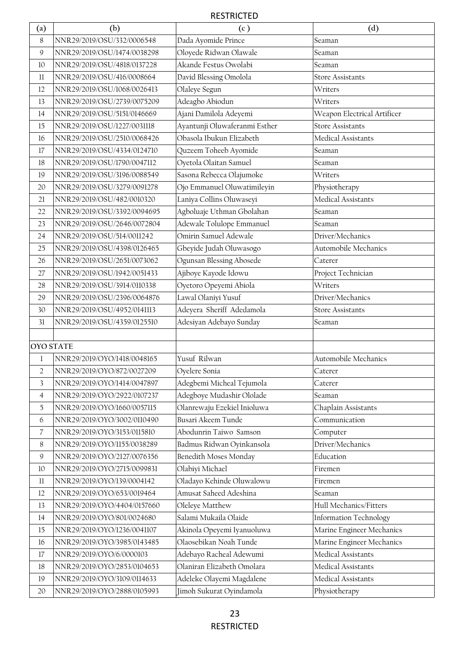| (a)              | (b)                         | (c)                           | (d)                           |
|------------------|-----------------------------|-------------------------------|-------------------------------|
| 8                | NNR29/2019/OSU/332/0006548  | Dada Ayomide Prince           | Seaman                        |
| $\mathsf{Q}$     | NNR29/2019/OSU/1474/0038298 | Oloyede Ridwan Olawale        | Seaman                        |
| 10               | NNR29/2019/OSU/4818/0137228 | Akande Festus Owolabi         | Seaman                        |
| 11               | NNR29/2019/OSU/416/0008664  | David Blessing Omolola        | <b>Store Assistants</b>       |
| 12               | NNR29/2019/OSU/1068/0026413 | Olaleye Segun                 | Writers                       |
| 13               | NNR29/2019/OSU/2739/0075209 | Adeagbo Abiodun               | Writers                       |
| 14               | NNR29/2019/OSU/5151/0146669 | Ajani Damilola Adeyemi        | Weapon Electrical Artificer   |
| 15               | NNR29/2019/OSU/1227/0031118 | Ayantunji Oluwaferanmi Esther | <b>Store Assistants</b>       |
| 16               | NNR29/2019/OSU/2510/0068426 | Obasola Ibukun Elizabeth      | Medical Assistants            |
| 17               | NNR29/2019/OSU/4334/0124710 | Quzeem Toheeb Ayomide         | Seaman                        |
| 18               | NNR29/2019/OSU/1790/0047112 | Oyetola Olaitan Samuel        | Seaman                        |
| 19               | NNR29/2019/OSU/3196/0088549 | Sasona Rebecca Olajumoke      | Writers                       |
| 20               | NNR29/2019/OSU/3279/0091278 | Ojo Emmanuel Oluwatimileyin   | Physiotherapy                 |
| 21               | NNR29/2019/OSU/482/0010320  | Laniya Collins Oluwaseyi      | Medical Assistants            |
| 22               | NNR29/2019/OSU/3392/0094695 | Agboluaje Uthman Gbolahan     | Seaman                        |
| 23               | NNR29/2019/OSU/2646/0072804 | Adewale Tolulope Emmanuel     | Seaman                        |
| 24               | NNR29/2019/OSU/514/0011242  | Omirin Samuel Adewale         | Driver/Mechanics              |
| 25               | NNR29/2019/OSU/4398/0126465 | Gbeyide Judah Oluwasogo       | Automobile Mechanics          |
| 26               | NNR29/2019/OSU/2651/0073062 | Ogunsan Blessing Abosede      | Caterer                       |
| 27               | NNR29/2019/OSU/1942/0051433 | Ajiboye Kayode Idowu          | Project Technician            |
| 28               | NNR29/2019/OSU/3914/0110338 | Oyetoro Opeyemi Abiola        | Writers                       |
| 29               | NNR29/2019/OSU/2396/0064876 | Lawal Olaniyi Yusuf           | Driver/Mechanics              |
| 30               | NNR29/2019/OSU/4952/0141113 | Adeyera Sheriff Adedamola     | <b>Store Assistants</b>       |
| 31               | NNR29/2019/OSU/4359/0125510 | Adesiyan Adebayo Sunday       | Seaman                        |
|                  |                             |                               |                               |
| <b>OYO STATE</b> |                             |                               |                               |
| 1                | NNR29/2019/OYO/1418/0048165 | Yusuf Rilwan                  | Automobile Mechanics          |
| $\overline{c}$   | NNR29/2019/OYO/872/0027209  | Oyelere Sonia                 | Caterer                       |
| 3                | NNR29/2019/OYO/1414/0047897 | Adegbemi Micheal Tejumola     | Caterer                       |
| $\overline{4}$   | NNR29/2019/OYO/2922/0107237 | Adegboye Mudashir Ololade     | Seaman                        |
| $\overline{5}$   | NNR29/2019/OYO/1660/0057115 | Olanrewaju Ezekiel Inioluwa   | Chaplain Assistants           |
| 6                | NNR29/2019/OYO/3002/0110490 | Busari Akeem Tunde            | Communication                 |
| $\overline{7}$   | NNR29/2019/OYO/3153/0115810 | Abodunrin Taiwo Samson        | Computer                      |
| $8\,$            | NNR29/2019/OYO/1155/0038289 | Badmus Ridwan Oyinkansola     | Driver/Mechanics              |
| 9                | NNR29/2019/OYO/2127/0076356 | Benedith Moses Monday         | Education                     |
| 10               | NNR29/2019/OYO/2715/0099831 | Olabiyi Michael               | Firemen                       |
| $11\,$           | NNR29/2019/OYO/139/0004142  | Oladayo Kehinde Oluwalowu     | Firemen                       |
| 12               | NNR29/2019/OYO/653/0019464  | Amusat Saheed Adeshina        | Seaman                        |
| 13               | NNR29/2019/OYO/4404/0157660 | Oleleye Matthew               | Hull Mechanics/Fitters        |
| 14               | NNR29/2019/OYO/801/0024680  | Salami Mukaila Olaide         | <b>Information Technology</b> |
| 15               | NNR29/2019/OYO/1236/0041107 | Akinola Opeyemi Iyanuoluwa    | Marine Engineer Mechanics     |
| 16               | NNR29/2019/OYO/3985/0143485 | Olaosebikan Noah Tunde        | Marine Engineer Mechanics     |
| 17               | NNR29/2019/OYO/6/0000103    | Adebayo Racheal Adewumi       | Medical Assistants            |
| 18               | NNR29/2019/OYO/2853/0104653 | Olaniran Elizabeth Omolara    | Medical Assistants            |
| 19               | NNR29/2019/OYO/3109/0114633 | Adeleke Olayemi Magdalene     | Medical Assistants            |
| 20               | NNR29/2019/OYO/2888/0105993 | Jimoh Sukurat Oyindamola      | Physiotherapy                 |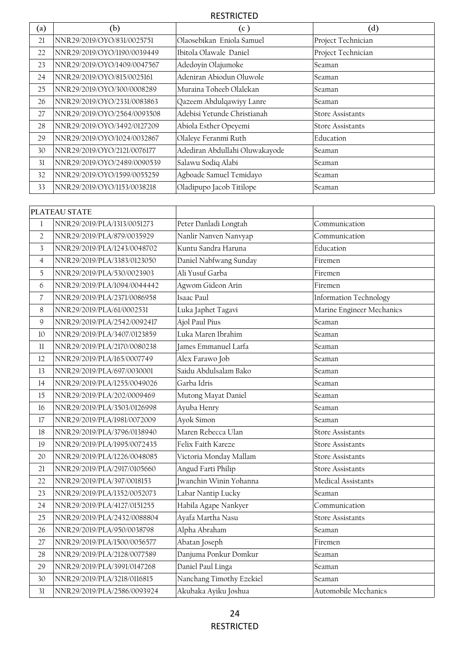| $\rm (a)$ | (b)                         | (c)                            | $\rm ^{(d)}$            |
|-----------|-----------------------------|--------------------------------|-------------------------|
| 21        | NNR29/2019/OYO/831/0025751  | Olaosebikan Eniola Samuel      | Project Technician      |
| 22        | NNR29/2019/OYO/1190/0039449 | Ibitola Olawale Daniel         | Project Technician      |
| 23        | NNR29/2019/OYO/1409/0047567 | Adedoyin Olajumoke             | Seaman                  |
| 24        | NNR29/2019/OYO/815/0025161  | Adeniran Abiodun Oluwole       | Seaman                  |
| 25        | NNR29/2019/OYO/300/0008289  | Muraina Toheeb Olalekan        | Seaman                  |
| 26        | NNR29/2019/OYO/2331/0083863 | Qazeem Abdulqawiyy Lanre       | Seaman                  |
| 27        | NNR29/2019/OYO/2564/0093508 | Adebisi Yetunde Christianah    | <b>Store Assistants</b> |
| 28        | NNR29/2019/OYO/3492/0127209 | Abiola Esther Opeyemi          | <b>Store Assistants</b> |
| 29        | NNR29/2019/OYO/1024/0032867 | Olaleye Feranmi Ruth           | Education               |
| 30        | NNR29/2019/OYO/2121/0076177 | Adediran Abdullahi Oluwakayode | Seaman                  |
| 31        | NNR29/2019/OYO/2489/0090539 | Salawu Sodiq Alabi             | Seaman                  |
| 32        | NNR29/2019/OYO/1599/0055259 | Agboade Samuel Temidayo        | Seaman                  |
| 33        | NNR29/2019/OYO/1153/0038218 | Oladipupo Jacob Titilope       | Seaman                  |

|                | PLATEAU STATE               |                          |                           |
|----------------|-----------------------------|--------------------------|---------------------------|
| $\mathbf{1}$   | NNR29/2019/PLA/1313/0051273 | Peter Danladi Longtah    | Communication             |
| $\sqrt{2}$     | NNR29/2019/PLA/879/0035929  | Nanlir Nanven Nanvyap    | Communication             |
| 3              | NNR29/2019/PLA/1243/0048702 | Kuntu Sandra Haruna      | Education                 |
| $\overline{4}$ | NNR29/2019/PLA/3383/0123050 | Daniel Nabfwang Sunday   | Firemen                   |
| 5              | NNR29/2019/PLA/530/0023903  | Ali Yusuf Garba          | Firemen                   |
| 6              | NNR29/2019/PLA/1094/0044442 | Agwom Gideon Arin        | Firemen                   |
| $\overline{7}$ | NNR29/2019/PLA/2371/0086958 | Isaac Paul               | Information Technology    |
| 8              | NNR29/2019/PLA/61/0002531   | Luka Japhet Tagavi       | Marine Engineer Mechanics |
| $\mathcal{G}$  | NNR29/2019/PLA/2542/0092417 | Ajol Paul Pius           | Seaman                    |
| 10             | NNR29/2019/PLA/3407/0123859 | Luka Maren Ibrahim       | Seaman                    |
| 11             | NNR29/2019/PLA/2170/0080238 | James Emmanuel Larfa     | Seaman                    |
| 12             | NNR29/2019/PLA/165/0007749  | Alex Farawo Job          | Seaman                    |
| 13             | NNR29/2019/PLA/697/0030001  | Saidu Abdulsalam Bako    | Seaman                    |
| 14             | NNR29/2019/PLA/1255/0049026 | Garba Idris              | Seaman                    |
| 15             | NNR29/2019/PLA/202/0009469  | Mutong Mayat Daniel      | Seaman                    |
| 16             | NNR29/2019/PLA/3503/0126998 | Ayuba Henry              | Seaman                    |
| 17             | NNR29/2019/PLA/1981/0072009 | Ayok Simon               | Seaman                    |
| 18             | NNR29/2019/PLA/3796/0138940 | Maren Rebecca Ulan       | <b>Store Assistants</b>   |
| 19             | NNR29/2019/PLA/1995/0072435 | Felix Faith Kareze       | <b>Store Assistants</b>   |
| 20             | NNR29/2019/PLA/1226/0048085 | Victoria Monday Mallam   | <b>Store Assistants</b>   |
| 21             | NNR29/2019/PLA/2917/0105660 | Angud Farti Philip       | <b>Store Assistants</b>   |
| 22             | NNR29/2019/PLA/397/0018153  | Jwanchin Winin Yohanna   | Medical Assistants        |
| 23             | NNR29/2019/PLA/1352/0052073 | Labar Nantip Lucky       | Seaman                    |
| 24             | NNR29/2019/PLA/4127/0151255 | Habila Agape Nankyer     | Communication             |
| 25             | NNR29/2019/PLA/2432/0088804 | Ayafa Martha Nasu        | <b>Store Assistants</b>   |
| 26             | NNR29/2019/PLA/950/0038798  | Alpha Abraham            | Seaman                    |
| 27             | NNR29/2019/PLA/1500/0056577 | Abatan Joseph            | Firemen                   |
| 28             | NNR29/2019/PLA/2128/0077589 | Danjuma Ponkur Domkur    | Seaman                    |
| 29             | NNR29/2019/PLA/3991/0147268 | Daniel Paul Linga        | Seaman                    |
| 30             | NNR29/2019/PLA/3218/0116815 | Nanchang Timothy Ezekiel | Seaman                    |
| 31             | NNR29/2019/PLA/2586/0093924 | Akubaka Ayiku Joshua     | Automobile Mechanics      |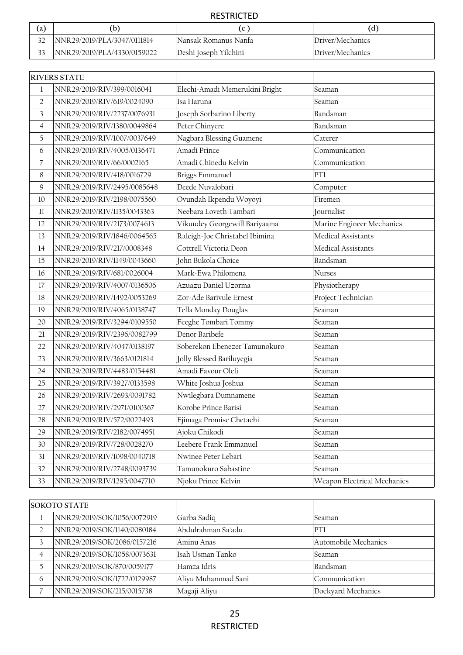| (a) |                             |                       | (d)              |
|-----|-----------------------------|-----------------------|------------------|
|     | NNR29/2019/PLA/3047/0111814 | Nansak Romanus Nanfa  | Driver/Mechanics |
|     | NNR29/2019/PLA/4330/0159022 | Deshi Joseph Yilchini | Driver/Mechanics |

|                | <b>RIVERS STATE</b>         |                                |                             |
|----------------|-----------------------------|--------------------------------|-----------------------------|
| $\mathbf 1$    | NNR29/2019/RIV/399/0016041  | Elechi-Amadi Memerukini Bright | Seaman                      |
| $\overline{2}$ | NNR29/2019/RIV/619/0024090  | Isa Haruna                     | Seaman                      |
| 3              | NNR29/2019/RIV/2237/0076931 | Joseph Sorbarino Liberty       | Bandsman                    |
| $\overline{4}$ | NNR29/2019/RIV/1380/0049864 | Peter Chinyere                 | Bandsman                    |
| 5              | NNR29/2019/RIV/1007/0037649 | Nagbara Blessing Guamene       | Caterer                     |
| 6              | NNR29/2019/RIV/4005/0136471 | Amadi Prince                   | Communication               |
| 7              | NNR29/2019/RIV/66/0002165   | Amadi Chinedu Kelvin           | Communication               |
| 8              | NNR29/2019/RIV/418/0016729  | <b>Briggs Emmanuel</b>         | PTI                         |
| 9              | NNR29/2019/RIV/2495/0085648 | Deede Nuvalobari               | Computer                    |
| 10             | NNR29/2019/RIV/2198/0075560 | Ovundah Ikpendu Woyoyi         | Firemen                     |
| 11             | NNR29/2019/RIV/1135/0043363 | Neebara Loveth Tambari         | Journalist                  |
| 12             | NNR29/2019/RIV/2173/0074613 | Vikuudey Georgewill Bariyaama  | Marine Engineer Mechanics   |
| 13             | NNR29/2019/RIV/1846/0064565 | Raleigh-Joe Christabel Ibimina | Medical Assistants          |
| 14             | NNR29/2019/RIV/217/0008348  | Cottrell Victoria Deon         | Medical Assistants          |
| 15             | NNR29/2019/RIV/1149/0043660 | John Bukola Choice             | Bandsman                    |
| 16             | NNR29/2019/RIV/681/0026004  | Mark-Ewa Philomena             | Nurses                      |
| 17             | NNR29/2019/RIV/4007/0136506 | Azuazu Daniel Uzorma           | Physiotherapy               |
| 18             | NNR29/2019/RIV/1492/0053269 | Zor-Ade Barivule Ernest        | Project Technician          |
| 19             | NNR29/2019/RIV/4065/0138747 | Tella Monday Douglas           | Seaman                      |
| 20             | NNR29/2019/RIV/3294/0109550 | Feeghe Tombari Tommy           | Seaman                      |
| 21             | NNR29/2019/RIV/2396/0082799 | Denor Baribefe                 | Seaman                      |
| 22             | NNR29/2019/RIV/4047/0138197 | Soberekon Ebenezer Tamunokuro  | Seaman                      |
| 23             | NNR29/2019/RIV/3663/0121814 | Jolly Blessed Bariluyegia      | Seaman                      |
| 24             | NNR29/2019/RIV/4483/0154481 | Amadi Favour Oleli             | Seaman                      |
| 25             | NNR29/2019/RIV/3927/0133598 | White Joshua Joshua            | Seaman                      |
| 26             | NNR29/2019/RIV/2693/0091782 | Nwilegbara Dumnamene           | Seaman                      |
| 27             | NNR29/2019/RIV/2971/0100367 | Korobe Prince Barisi           | Seaman                      |
| 28             | NNR29/2019/RIV/572/0022493  | Ejimaga Promise Chetachi       | Seaman                      |
| 29             | NNR29/2019/RIV/2182/0074951 | Ajoku Chikodi                  | Seaman                      |
| 30             | NNR29/2019/RIV/728/0028270  | Leebere Frank Emmanuel         | Seaman                      |
| 31             | NNR29/2019/RIV/1098/0040718 | Nwinee Peter Lebari            | Seaman                      |
| 32             | NNR29/2019/RIV/2748/0093739 | Tamunokuro Sabastine           | Seaman                      |
| 33             | NNR29/2019/RIV/1295/0047710 | Njoku Prince Kelvin            | Weapon Electrical Mechanics |

| <b>SOKOTO STATE</b> |                             |                     |                      |
|---------------------|-----------------------------|---------------------|----------------------|
|                     | NNR29/2019/SOK/1056/0072919 | Garba Sadiq         | Seaman               |
|                     | NNR29/2019/SOK/1140/0080184 | Abdulrahman Sa'adu  | PTI                  |
|                     | NNR29/2019/SOK/2086/0157216 | Aminu Anas          | Automobile Mechanics |
| 4                   | NNR29/2019/SOK/1058/0073631 | Isah Usman Tanko    | Seaman               |
|                     | NNR29/2019/SOK/870/0059177  | Hamza Idris         | Bandsman             |
| 6                   | NNR29/2019/SOK/1722/0129987 | Aliyu Muhammad Sani | Communication        |
|                     | NNR29/2019/SOK/215/0015738  | Magaji Aliyu        | Dockyard Mechanics   |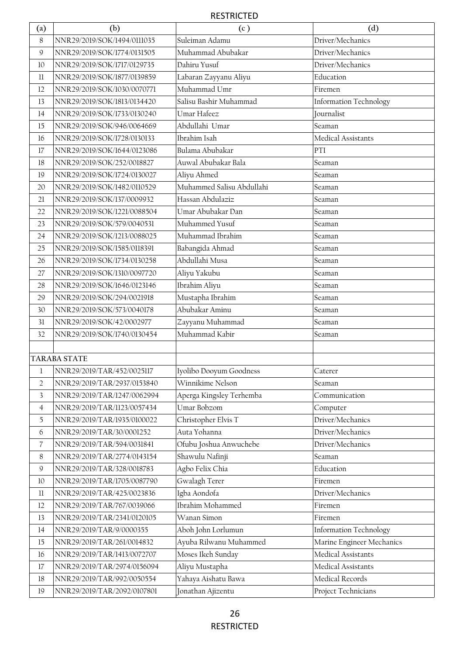| (a)              | (b)                         | (c)                       | (d)                           |
|------------------|-----------------------------|---------------------------|-------------------------------|
| $8\,$            | NNR29/2019/SOK/1494/0111035 | Suleiman Adamu            | Driver/Mechanics              |
| 9                | NNR29/2019/SOK/1774/0131505 | Muhammad Abubakar         | Driver/Mechanics              |
| 10               | NNR29/2019/SOK/1717/0129735 | Dahiru Yusuf              | Driver/Mechanics              |
| 11               | NNR29/2019/SOK/1877/0139859 | Labaran Zayyanu Aliyu     | Education                     |
| 12               | NNR29/2019/SOK/1030/0070771 | Muhammad Umr              | Firemen                       |
| 13               | NNR29/2019/SOK/1813/0134420 | Salisu Bashir Muhammad    | <b>Information Technology</b> |
| 14               | NNR29/2019/SOK/1733/0130240 | Umar Hafeez               | Journalist                    |
| 15               | NNR29/2019/SOK/946/0064669  | Abdullahi Umar            | Seaman                        |
| 16               | NNR29/2019/SOK/1728/0130133 | Ibrahim Isah              | Medical Assistants            |
| 17               | NNR29/2019/SOK/1644/0123086 | Bulama Abubakar           | PTI                           |
| $18\,$           | NNR29/2019/SOK/252/0018827  | Auwal Abubakar Bala       | Seaman                        |
| 19               | NNR29/2019/SOK/1724/0130027 | Aliyu Ahmed               | Seaman                        |
| 20               | NNR29/2019/SOK/1482/0110529 | Muhammed Salisu Abdullahi | Seaman                        |
| 21               | NNR29/2019/SOK/137/0009932  | Hassan Abdulaziz          | Seaman                        |
| 22               | NNR29/2019/SOK/1221/0088504 | Umar Abubakar Dan         | Seaman                        |
| 23               | NNR29/2019/SOK/579/0040531  | Muhammed Yusuf            | Seaman                        |
| 24               | NNR29/2019/SOK/1213/0088025 | Muhammad Ibrahim          | Seaman                        |
| 25               | NNR29/2019/SOK/1585/0118391 | Babangida Ahmad           | Seaman                        |
| 26               | NNR29/2019/SOK/1734/0130258 | Abdullahi Musa            | Seaman                        |
| 27               | NNR29/2019/SOK/1310/0097720 | Aliyu Yakubu              | Seaman                        |
| 28               | NNR29/2019/SOK/1646/0123146 | Ibrahim Aliyu             | Seaman                        |
| 29               | NNR29/2019/SOK/294/0021918  | Mustapha Ibrahim          | Seaman                        |
| 30               | NNR29/2019/SOK/573/0040178  | Abubakar Aminu            | Seaman                        |
| 31               | NNR29/2019/SOK/42/0002977   | Zayyanu Muhammad          | Seaman                        |
| 32               | NNR29/2019/SOK/1740/0130454 | Muhammad Kabir            | Seaman                        |
|                  |                             |                           |                               |
|                  | <b>TARABA STATE</b>         |                           |                               |
| l                | NNR29/2019/TAR/452/0025117  | Iyolibo Dooyum Goodness   | Caterer                       |
| $\overline{2}$   | NNR29/2019/TAR/2937/0153840 | Winnikime Nelson          | Seaman                        |
| $\overline{3}$   | NNR29/2019/TAR/1247/0062994 | Aperga Kingsley Terhemba  | Communication                 |
| $\overline{4}$   | NNR29/2019/TAR/1123/0057434 | Umar Bobzom               | Computer                      |
| $\mathfrak I$    | NNR29/2019/TAR/1935/0100022 | Christopher Elvis T       | Driver/Mechanics              |
| 6                | NNR29/2019/TAR/30/0001252   | Auta Yohanna              | Driver/Mechanics              |
| $\boldsymbol{7}$ | NNR29/2019/TAR/594/0031841  | Ofubu Joshua Anwuchebe    | Driver/Mechanics              |
| $\,8\,$          | NNR29/2019/TAR/2774/0143154 | Shawulu Nafinji           | Seaman                        |
| $\mathsf{9}$     | NNR29/2019/TAR/328/0018783  | Agbo Felix Chia           | Education                     |
| $10\,$           | NNR29/2019/TAR/1705/0087790 | Gwalagh Terer             | Firemen                       |
| $11\,$           | NNR29/2019/TAR/425/0023836  | Igba Aondofa              | Driver/Mechanics              |
| 12               | NNR29/2019/TAR/767/0039066  | Ibrahim Mohammed          | Firemen                       |
| 13               | NNR29/2019/TAR/2341/0120105 | Wanan Simon               | Firemen                       |
| 14               | NNR29/2019/TAR/9/0000355    | Aboh John Lorlumun        | <b>Information Technology</b> |
| $15\,$           | NNR29/2019/TAR/261/0014832  | Ayuba Rilwanu Muhammed    | Marine Engineer Mechanics     |
| 16               | NNR29/2019/TAR/1413/0072707 | Moses Ikeh Sunday         | Medical Assistants            |
| 17               | NNR29/2019/TAR/2974/0156094 | Aliyu Mustapha            | Medical Assistants            |
| $18\,$           | NNR29/2019/TAR/992/0050554  | Yahaya Aishatu Bawa       | Medical Records               |
| 19               | NNR29/2019/TAR/2092/0107801 | Jonathan Ajizentu         | Project Technicians           |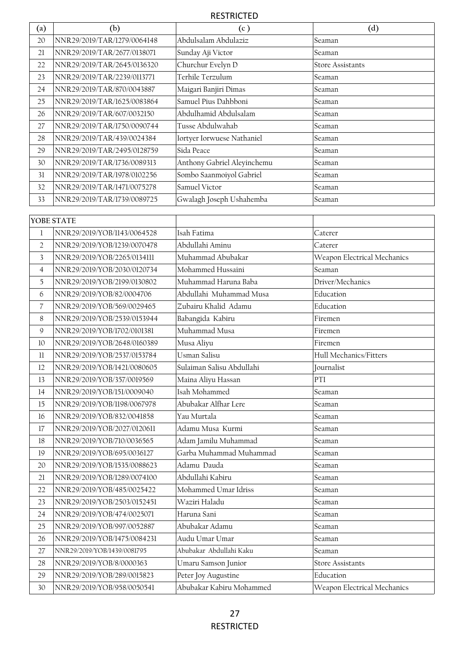| $\left( \text{a}\right)$ | (b)                                                        | (c)                               | (d)                               |
|--------------------------|------------------------------------------------------------|-----------------------------------|-----------------------------------|
| 20                       | NNR29/2019/TAR/1279/0064148                                | Abdulsalam Abdulaziz              | Seaman                            |
| 21                       | NNR29/2019/TAR/2677/0138071                                | Sunday Aji Victor                 | Seaman                            |
| 22                       | NNR29/2019/TAR/2645/0136320                                | Churchur Evelyn D                 | <b>Store Assistants</b>           |
| 23                       | NNR29/2019/TAR/2239/0113771                                | Terhile Terzulum                  | Seaman                            |
| 24                       | NNR29/2019/TAR/870/0043887                                 | Maigari Banjiri Dimas             | Seaman                            |
| 25                       | NNR29/2019/TAR/1625/0083864                                | Samuel Pius Dahbboni              | Seaman                            |
| 26                       | NNR29/2019/TAR/607/0032150                                 | Abdulhamid Abdulsalam             | Seaman                            |
| 27                       | NNR29/2019/TAR/1750/0090744                                | Tusse Abdulwahab                  | Seaman                            |
| 28                       | NNR29/2019/TAR/439/0024384                                 | Iortyer Iorwuese Nathaniel        | Seaman                            |
| 29                       | NNR29/2019/TAR/2495/0128759                                | Sida Peace                        | Seaman                            |
| 30                       | NNR29/2019/TAR/1736/0089313                                | Anthony Gabriel Aleyinchemu       | Seaman                            |
| 31                       | NNR29/2019/TAR/1978/0102256                                | Sombo Saanmoiyol Gabriel          | Seaman                            |
| 32                       | NNR29/2019/TAR/1471/0075278                                | Samuel Victor                     | Seaman                            |
| 33                       | NNR29/2019/TAR/1739/0089725                                | Gwalagh Joseph Ushahemba          | Seaman                            |
|                          |                                                            |                                   |                                   |
|                          | YOBE STATE                                                 |                                   |                                   |
| 1                        | NNR29/2019/YOB/1143/0064528                                | Isah Fatima                       | Caterer                           |
| $\overline{2}$           | NNR29/2019/YOB/1239/0070478                                | Abdullahi Aminu                   | Caterer                           |
| 3                        | NNR29/2019/YOB/2265/0134111                                | Muhammad Abubakar                 | Weapon Electrical Mechanics       |
| $\overline{4}$           | NNR29/2019/YOB/2030/0120734                                | Mohammed Hussaini                 | Seaman                            |
| 5                        | NNR29/2019/YOB/2199/0130802                                | Muhammad Haruna Baba              | Driver/Mechanics                  |
| 6                        | NNR29/2019/YOB/82/0004706                                  | Abdullahi Muhammad Musa           | Education                         |
| $\overline{7}$           | NNR29/2019/YOB/569/0029465                                 | Zubairu Khalid Adamu              | Education                         |
| 8                        | NNR29/2019/YOB/2539/0153944<br>NNR29/2019/YOB/1702/0101381 | Babangida Kabiru<br>Muhammad Musa | Firemen<br>Firemen                |
| $\mathsf{Q}$<br>10       |                                                            |                                   |                                   |
| 11                       | NNR29/2019/YOB/2648/0160389<br>NNR29/2019/YOB/2537/0153784 | Musa Aliyu<br>Usman Salisu        | Firemen<br>Hull Mechanics/Fitters |
| 12                       | NNR29/2019/YOB/1421/0080605                                | Sulaiman Salisu Abdullahi         |                                   |
| 13                       | NNR29/2019/YOB/357/0019569                                 | Maina Aliyu Hassan                | Journalist<br>PTI                 |
| 14                       | NNR29/2019/YOB/151/0009040                                 | Isah Mohammed                     | Seaman                            |
| $15\,$                   | NNR29/2019/YOB/1198/0067978                                | Abubakar Alfhar Lere              | Seaman                            |
| 16                       | NNR29/2019/YOB/832/0041858                                 | Yau Murtala                       | Seaman                            |
| 17                       | NNR29/2019/YOB/2027/0120611                                | Adamu Musa Kurmi                  | Seaman                            |
| 18                       | NNR29/2019/YOB/710/0036565                                 | Adam Jamilu Muhammad              | Seaman                            |
| 19                       | NNR29/2019/YOB/695/0036127                                 | Garba Muhammad Muhammad           | Seaman                            |
| 20                       | NNR29/2019/YOB/1535/0088623                                | Adamu Dauda                       | Seaman                            |
| $21$                     | NNR29/2019/YOB/1289/0074100                                | Abdullahi Kabiru                  | Seaman                            |
| 22                       | NNR29/2019/YOB/485/0025422                                 | Mohammed Umar Idriss              | Seaman                            |
| 23                       | NNR29/2019/YOB/2503/0152451                                | Waziri Haladu                     | Seaman                            |
| 24                       | NNR29/2019/YOB/474/0025071                                 | Haruna Sani                       | Seaman                            |
| 25                       | NNR29/2019/YOB/997/0052887                                 | Abubakar Adamu                    | Seaman                            |
| 26                       | NNR29/2019/YOB/1475/0084231                                | Audu Umar Umar                    | Seaman                            |
| 27                       | NNR29/2019/YOB/1439/0081795                                | Abubakar Abdullahi Kaku           | Seaman                            |
| 28                       | NNR29/2019/YOB/8/0000363                                   | Umaru Samson Junior               | <b>Store Assistants</b>           |
| 29                       | NNR29/2019/YOB/289/0015823                                 | Peter Joy Augustine               | Education                         |
| 30                       | NNR29/2019/YOB/958/0050541                                 | Abubakar Kabiru Mohammed          | Weapon Electrical Mechanics       |